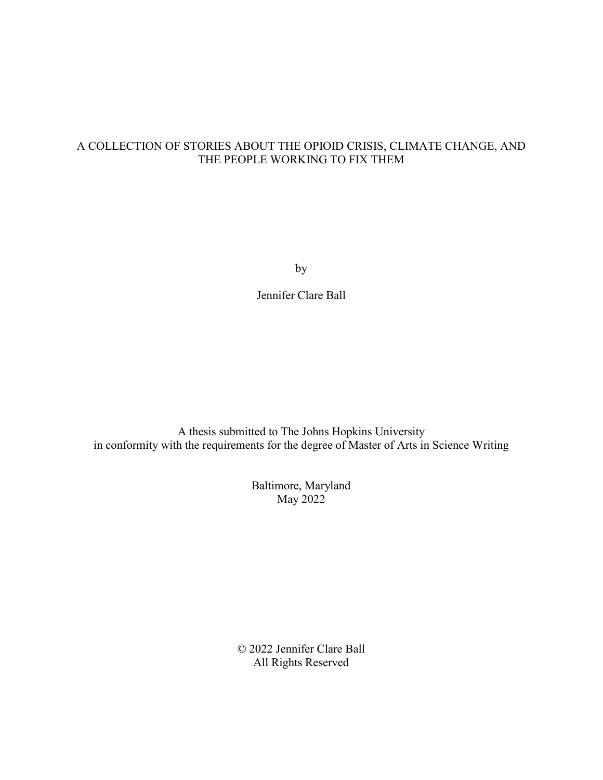# A COLLECTION OF STORIES ABOUT THE OPIOID CRISIS, CLIMATE CHANGE, AND THE PEOPLE WORKING TO FIX THEM

by

Jennifer Clare Ball

A thesis submitted to The Johns Hopkins University in conformity with the requirements for the degree of Master of Arts in Science Writing

> Baltimore, Maryland May 2022

© 2022 Jennifer Clare Ball All Rights Reserved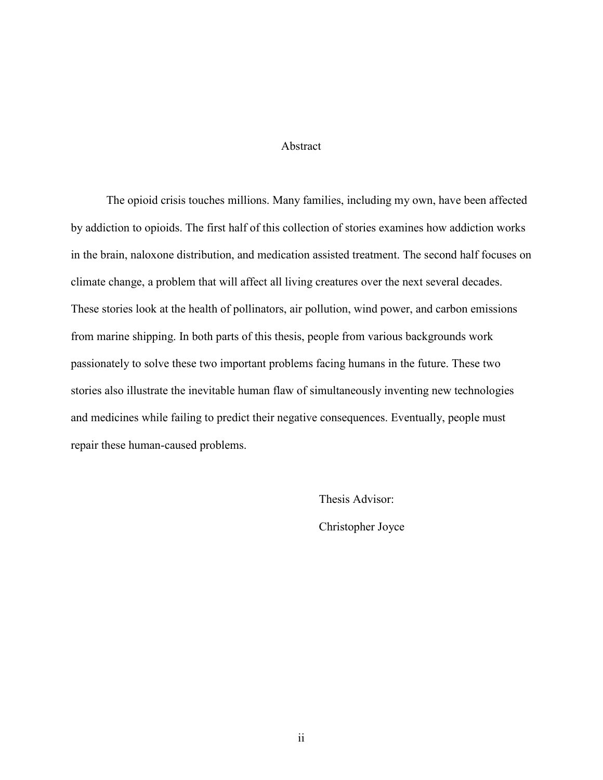# Abstract

The opioid crisis touches millions. Many families, including my own, have been affected by addiction to opioids. The first half of this collection of stories examines how addiction works in the brain, naloxone distribution, and medication assisted treatment. The second half focuses on climate change, a problem that will affect all living creatures over the next several decades. These stories look at the health of pollinators, air pollution, wind power, and carbon emissions from marine shipping. In both parts of this thesis, people from various backgrounds work passionately to solve these two important problems facing humans in the future. These two stories also illustrate the inevitable human flaw of simultaneously inventing new technologies and medicines while failing to predict their negative consequences. Eventually, people must repair these human-caused problems.

> Thesis Advisor: Christopher Joyce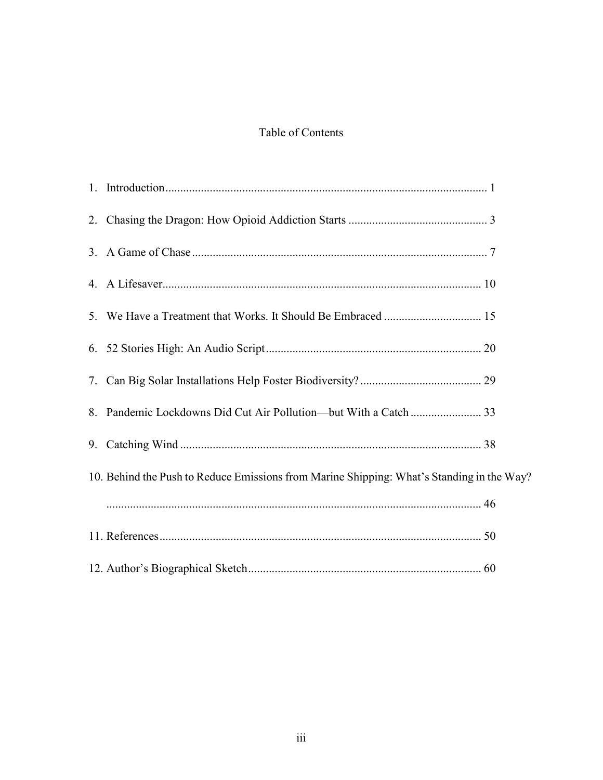# Table of Contents

| 10. Behind the Push to Reduce Emissions from Marine Shipping: What's Standing in the Way? |
|-------------------------------------------------------------------------------------------|
|                                                                                           |
|                                                                                           |
|                                                                                           |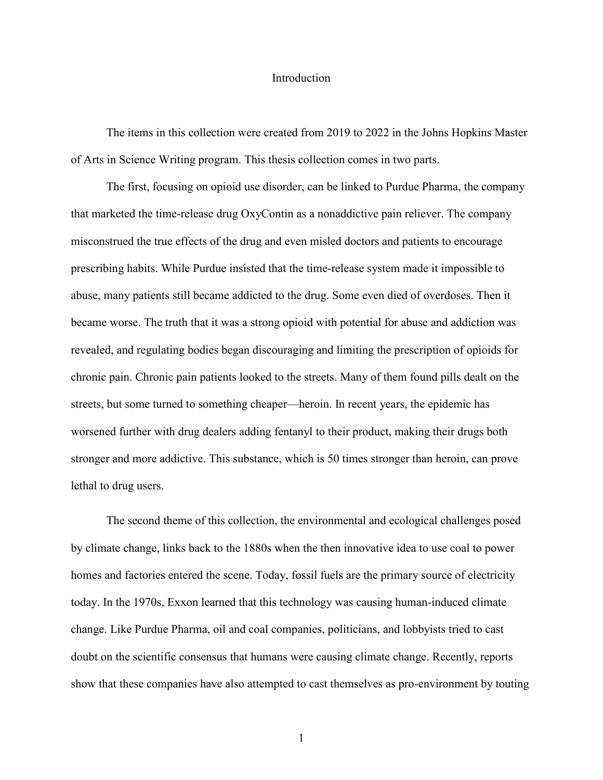## Introduction

<span id="page-3-0"></span>The items in this collection were created from 2019 to 2022 in the Johns Hopkins Master of Arts in Science Writing program. This thesis collection comes in two parts.

The first, focusing on opioid use disorder, can be linked to Purdue Pharma, the company that marketed the time-release drug OxyContin as a nonaddictive pain reliever. The company misconstrued the true effects of the drug and even misled doctors and patients to encourage prescribing habits. While Purdue insisted that the time-release system made it impossible to abuse, many patients still became addicted to the drug. Some even died of overdoses. Then it became worse. The truth that it was a strong opioid with potential for abuse and addiction was revealed, and regulating bodies began discouraging and limiting the prescription of opioids for chronic pain. Chronic pain patients looked to the streets. Many of them found pills dealt on the streets, but some turned to something cheaper—heroin. In recent years, the epidemic has worsened further with drug dealers adding fentanyl to their product, making their drugs both stronger and more addictive. This substance, which is 50 times stronger than heroin, can prove lethal to drug users.

The second theme of this collection, the environmental and ecological challenges posed by climate change, links back to the 1880s when the then innovative idea to use coal to power homes and factories entered the scene. Today, fossil fuels are the primary source of electricity today. In the 1970s, Exxon learned that this technology was causing human-induced climate change. Like Purdue Pharma, oil and coal companies, politicians, and lobbyists tried to cast doubt on the scientific consensus that humans were causing climate change. Recently, reports show that these companies have also attempted to cast themselves as pro-environment by touting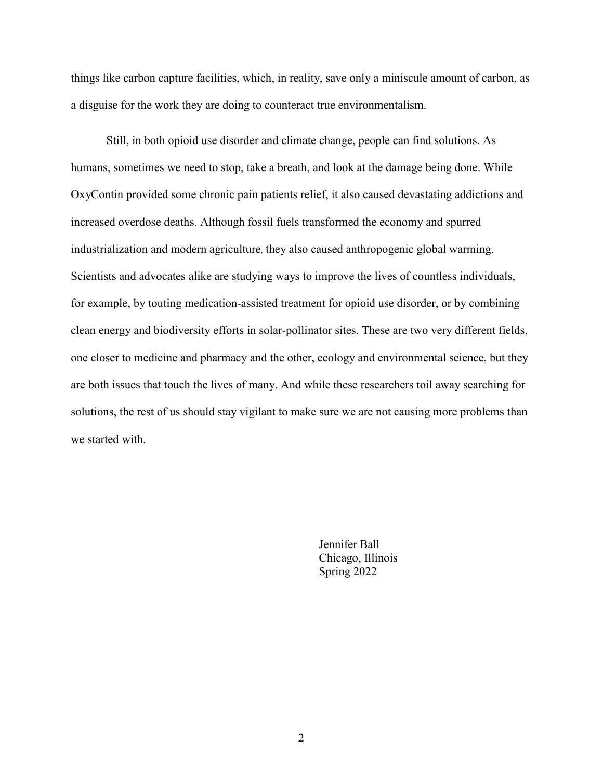things like carbon capture facilities, which, in reality, save only a miniscule amount of carbon, as a disguise for the work they are doing to counteract true environmentalism.

Still, in both opioid use disorder and climate change, people can find solutions. As humans, sometimes we need to stop, take a breath, and look at the damage being done. While OxyContin provided some chronic pain patients relief, it also caused devastating addictions and increased overdose deaths. Although fossil fuels transformed the economy and spurred industrialization and modern agriculture, they also caused anthropogenic global warming. Scientists and advocates alike are studying ways to improve the lives of countless individuals, for example, by touting medication-assisted treatment for opioid use disorder, or by combining clean energy and biodiversity efforts in solar-pollinator sites. These are two very different fields, one closer to medicine and pharmacy and the other, ecology and environmental science, but they are both issues that touch the lives of many. And while these researchers toil away searching for solutions, the rest of us should stay vigilant to make sure we are not causing more problems than we started with.

> Jennifer Ball Chicago, Illinois Spring 2022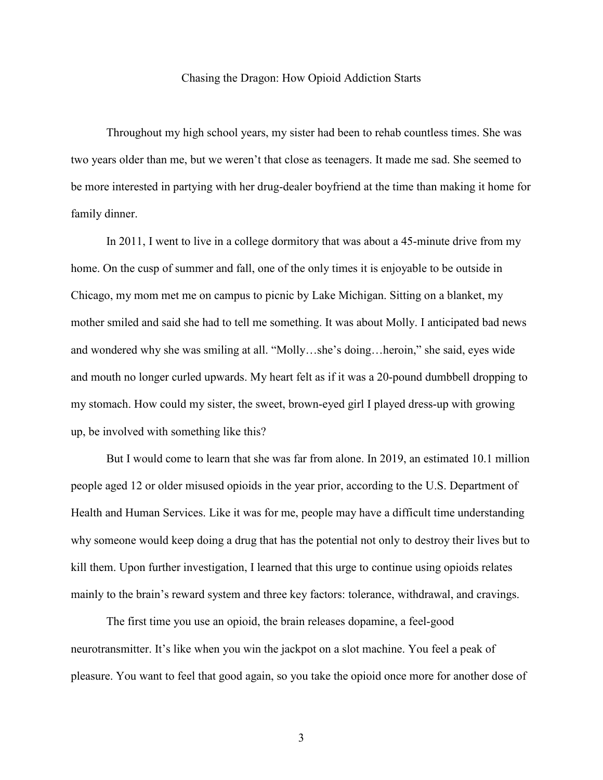## Chasing the Dragon: How Opioid Addiction Starts

<span id="page-5-0"></span>Throughout my high school years, my sister had been to rehab countless times. She was two years older than me, but we weren't that close as teenagers. It made me sad. She seemed to be more interested in partying with her drug-dealer boyfriend at the time than making it home for family dinner.

In 2011, I went to live in a college dormitory that was about a 45-minute drive from my home. On the cusp of summer and fall, one of the only times it is enjoyable to be outside in Chicago, my mom met me on campus to picnic by Lake Michigan. Sitting on a blanket, my mother smiled and said she had to tell me something. It was about Molly. I anticipated bad news and wondered why she was smiling at all. "Molly…she's doing…heroin," she said, eyes wide and mouth no longer curled upwards. My heart felt as if it was a 20-pound dumbbell dropping to my stomach. How could my sister, the sweet, brown-eyed girl I played dress-up with growing up, be involved with something like this?

But I would come to learn that she was far from alone. In 2019, an estimated 10.1 million people aged 12 or older misused opioids in the year prior, according to the U.S. Department of Health and Human Services. Like it was for me, people may have a difficult time understanding why someone would keep doing a drug that has the potential not only to destroy their lives but to kill them. Upon further investigation, I learned that this urge to continue using opioids relates mainly to the brain's reward system and three key factors: tolerance, withdrawal, and cravings.

The first time you use an opioid, the brain releases dopamine, a feel-good neurotransmitter. It's like when you win the jackpot on a slot machine. You feel a peak of pleasure. You want to feel that good again, so you take the opioid once more for another dose of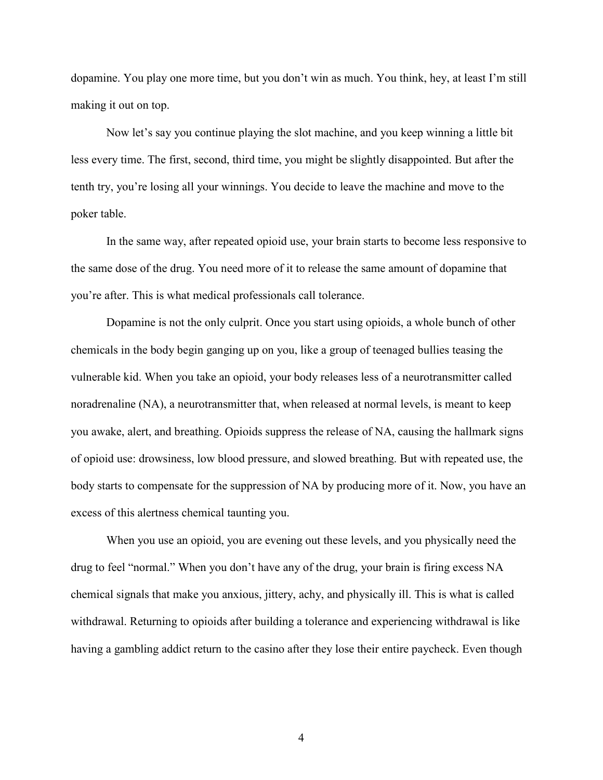dopamine. You play one more time, but you don't win as much. You think, hey, at least I'm still making it out on top.

Now let's say you continue playing the slot machine, and you keep winning a little bit less every time. The first, second, third time, you might be slightly disappointed. But after the tenth try, you're losing all your winnings. You decide to leave the machine and move to the poker table.

In the same way, after repeated opioid use, your brain starts to become less responsive to the same dose of the drug. You need more of it to release the same amount of dopamine that you're after. This is what medical professionals call tolerance.

Dopamine is not the only culprit. Once you start using opioids, a whole bunch of other chemicals in the body begin ganging up on you, like a group of teenaged bullies teasing the vulnerable kid. When you take an opioid, your body releases less of a neurotransmitter called noradrenaline (NA), a neurotransmitter that, when released at normal levels, is meant to keep you awake, alert, and breathing. Opioids suppress the release of NA, causing the hallmark signs of opioid use: drowsiness, low blood pressure, and slowed breathing. But with repeated use, the body starts to compensate for the suppression of NA by producing more of it. Now, you have an excess of this alertness chemical taunting you.

When you use an opioid, you are evening out these levels, and you physically need the drug to feel "normal." When you don't have any of the drug, your brain is firing excess NA chemical signals that make you anxious, jittery, achy, and physically ill. This is what is called withdrawal. Returning to opioids after building a tolerance and experiencing withdrawal is like having a gambling addict return to the casino after they lose their entire paycheck. Even though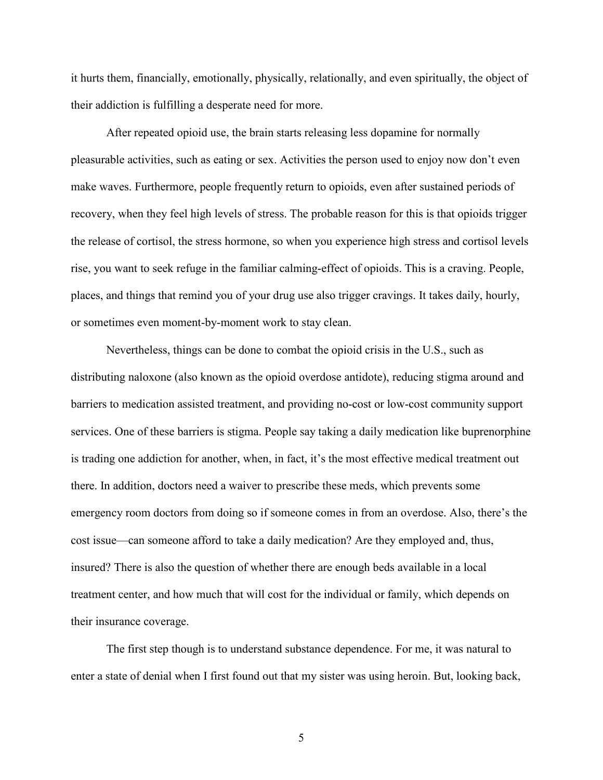it hurts them, financially, emotionally, physically, relationally, and even spiritually, the object of their addiction is fulfilling a desperate need for more.

After repeated opioid use, the brain starts releasing less dopamine for normally pleasurable activities, such as eating or sex. Activities the person used to enjoy now don't even make waves. Furthermore, people frequently return to opioids, even after sustained periods of recovery, when they feel high levels of stress. The probable reason for this is that opioids trigger the release of cortisol, the stress hormone, so when you experience high stress and cortisol levels rise, you want to seek refuge in the familiar calming-effect of opioids. This is a craving. People, places, and things that remind you of your drug use also trigger cravings. It takes daily, hourly, or sometimes even moment-by-moment work to stay clean.

Nevertheless, things can be done to combat the opioid crisis in the U.S., such as distributing naloxone (also known as the opioid overdose antidote), reducing stigma around and barriers to medication assisted treatment, and providing no-cost or low-cost community support services. One of these barriers is stigma. People say taking a daily medication like buprenorphine is trading one addiction for another, when, in fact, it's the most effective medical treatment out there. In addition, doctors need a waiver to prescribe these meds, which prevents some emergency room doctors from doing so if someone comes in from an overdose. Also, there's the cost issue—can someone afford to take a daily medication? Are they employed and, thus, insured? There is also the question of whether there are enough beds available in a local treatment center, and how much that will cost for the individual or family, which depends on their insurance coverage.

The first step though is to understand substance dependence. For me, it was natural to enter a state of denial when I first found out that my sister was using heroin. But, looking back,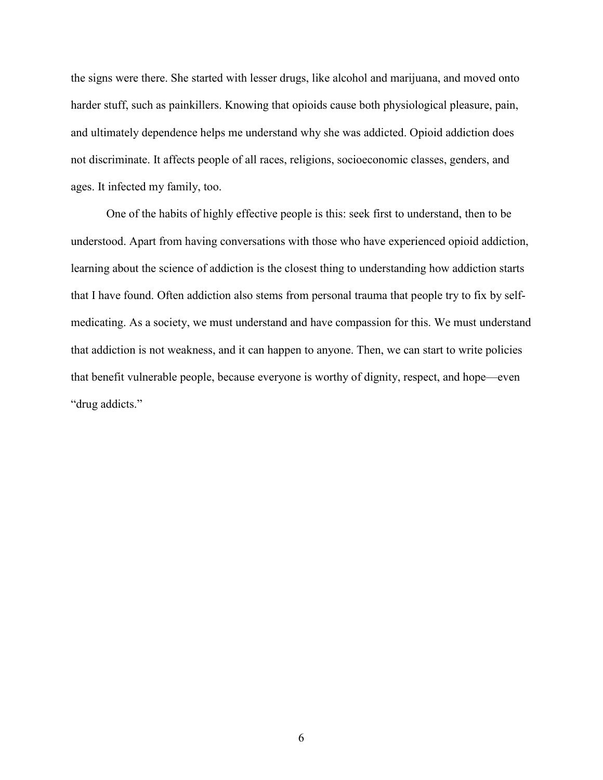the signs were there. She started with lesser drugs, like alcohol and marijuana, and moved onto harder stuff, such as painkillers. Knowing that opioids cause both physiological pleasure, pain, and ultimately dependence helps me understand why she was addicted. Opioid addiction does not discriminate. It affects people of all races, religions, socioeconomic classes, genders, and ages. It infected my family, too.

One of the habits of highly effective people is this: seek first to understand, then to be understood. Apart from having conversations with those who have experienced opioid addiction, learning about the science of addiction is the closest thing to understanding how addiction starts that I have found. Often addiction also stems from personal trauma that people try to fix by selfmedicating. As a society, we must understand and have compassion for this. We must understand that addiction is not weakness, and it can happen to anyone. Then, we can start to write policies that benefit vulnerable people, because everyone is worthy of dignity, respect, and hope—even "drug addicts."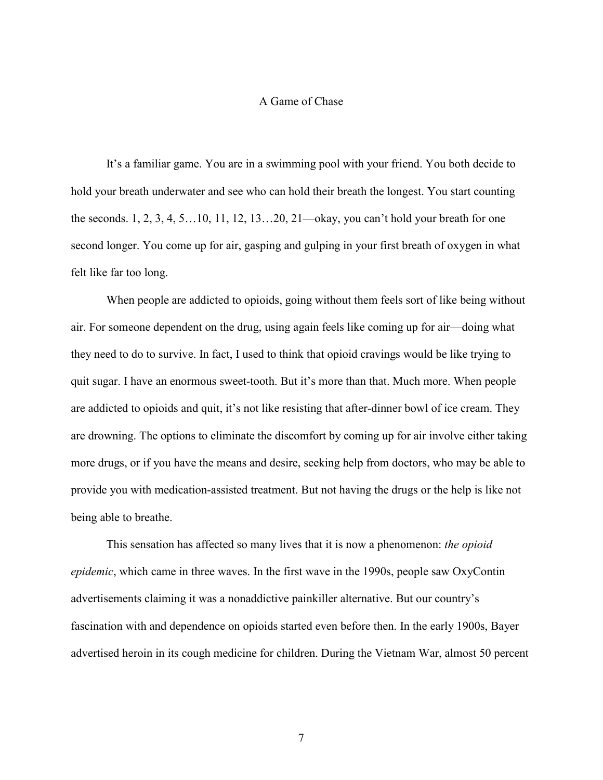## A Game of Chase

<span id="page-9-0"></span>It's a familiar game. You are in a swimming pool with your friend. You both decide to hold your breath underwater and see who can hold their breath the longest. You start counting the seconds. 1, 2, 3, 4, 5…10, 11, 12, 13…20, 21—okay, you can't hold your breath for one second longer. You come up for air, gasping and gulping in your first breath of oxygen in what felt like far too long.

When people are addicted to opioids, going without them feels sort of like being without air. For someone dependent on the drug, using again feels like coming up for air—doing what they need to do to survive. In fact, I used to think that opioid cravings would be like trying to quit sugar. I have an enormous sweet-tooth. But it's more than that. Much more. When people are addicted to opioids and quit, it's not like resisting that after-dinner bowl of ice cream. They are drowning. The options to eliminate the discomfort by coming up for air involve either taking more drugs, or if you have the means and desire, seeking help from doctors, who may be able to provide you with medication-assisted treatment. But not having the drugs or the help is like not being able to breathe.

This sensation has affected so many lives that it is now a phenomenon: *the opioid epidemic*, which came in three waves. In the first wave in the 1990s, people saw OxyContin advertisements claiming it was a nonaddictive painkiller alternative. But our country's fascination with and dependence on opioids started even before then. In the early 1900s, Bayer advertised heroin in its cough medicine for children. During the Vietnam War, almost 50 percent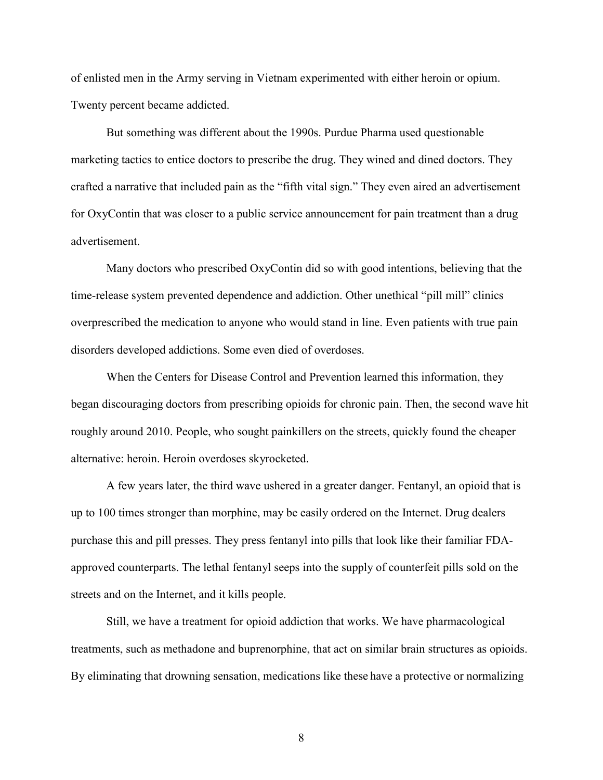of enlisted men in the Army serving in Vietnam experimented with either heroin or opium. Twenty percent became addicted.

But something was different about the 1990s. Purdue Pharma used questionable marketing tactics to entice doctors to prescribe the drug. They wined and dined doctors. They crafted a narrative that included pain as the "fifth vital sign." They even aired an advertisement for OxyContin that was closer to a public service announcement for pain treatment than a drug advertisement.

Many doctors who prescribed OxyContin did so with good intentions, believing that the time-release system prevented dependence and addiction. Other unethical "pill mill" clinics overprescribed the medication to anyone who would stand in line. Even patients with true pain disorders developed addictions. Some even died of overdoses.

When the Centers for Disease Control and Prevention learned this information, they began discouraging doctors from prescribing opioids for chronic pain. Then, the second wave hit roughly around 2010. People, who sought painkillers on the streets, quickly found the cheaper alternative: heroin. Heroin overdoses skyrocketed.

A few years later, the third wave ushered in a greater danger. Fentanyl, an opioid that is up to 100 times stronger than morphine, may be easily ordered on the Internet. Drug dealers purchase this and pill presses. They press fentanyl into pills that look like their familiar FDAapproved counterparts. The lethal fentanyl seeps into the supply of counterfeit pills sold on the streets and on the Internet, and it kills people.

Still, we have a treatment for opioid addiction that works. We have pharmacological treatments, such as methadone and buprenorphine, that act on similar brain structures as opioids. By eliminating that drowning sensation, medications like these have a protective or normalizing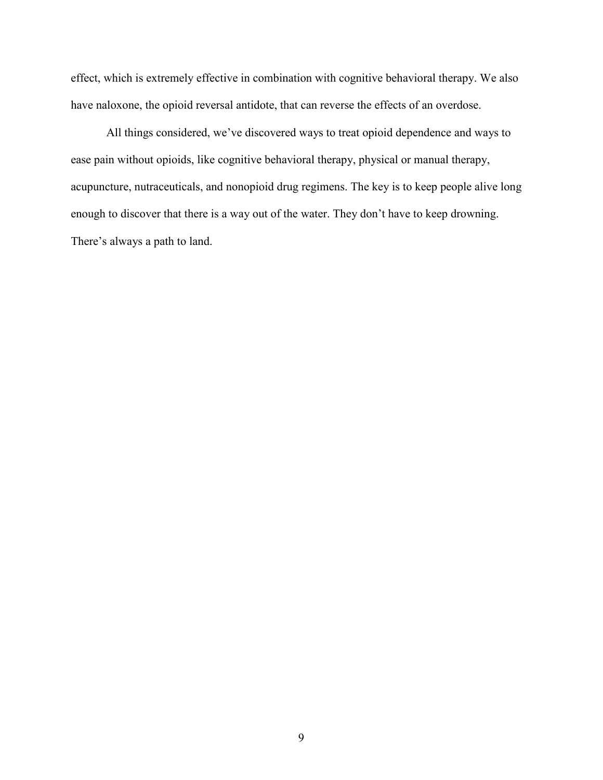effect, which is extremely effective in combination with cognitive behavioral therapy. We also have naloxone, the opioid reversal antidote, that can reverse the effects of an overdose.

All things considered, we've discovered ways to treat opioid dependence and ways to ease pain without opioids, like cognitive behavioral therapy, physical or manual therapy, acupuncture, nutraceuticals, and nonopioid drug regimens. The key is to keep people alive long enough to discover that there is a way out of the water. They don't have to keep drowning. There's always a path to land.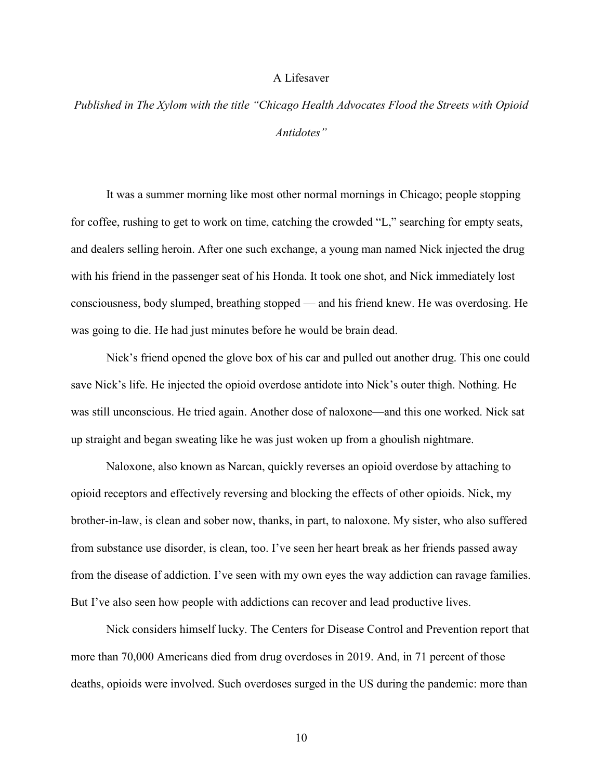## A Lifesaver

<span id="page-12-0"></span>*Published in The Xylom with the title "Chicago Health Advocates Flood the Streets with Opioid Antidotes"* 

It was a summer morning like most other normal mornings in Chicago; people stopping for coffee, rushing to get to work on time, catching the crowded "L," searching for empty seats, and dealers selling heroin. After one such exchange, a young man named Nick injected the drug with his friend in the passenger seat of his Honda. It took one shot, and Nick immediately lost consciousness, body slumped, breathing stopped — and his friend knew. He was overdosing. He was going to die. He had just minutes before he would be brain dead.

Nick's friend opened the glove box of his car and pulled out another drug. This one could save Nick's life. He injected the opioid overdose antidote into Nick's outer thigh. Nothing. He was still unconscious. He tried again. Another dose of naloxone—and this one worked. Nick sat up straight and began sweating like he was just woken up from a ghoulish nightmare.

Naloxone, also known as Narcan, quickly reverses an opioid overdose by attaching to opioid receptors and effectively reversing and blocking the effects of other opioids. Nick, my brother-in-law, is clean and sober now, thanks, in part, to naloxone. My sister, who also suffered from substance use disorder, is clean, too. I've seen her heart break as her friends passed away from the disease of addiction. I've seen with my own eyes the way addiction can ravage families. But I've also seen how people with addictions can recover and lead productive lives.

Nick considers himself lucky. The Centers for Disease Control and Prevention report that more than 70,000 Americans died from drug overdoses in 2019. And, in 71 percent of those deaths, opioids were involved. Such overdoses surged in the US during the pandemic: more than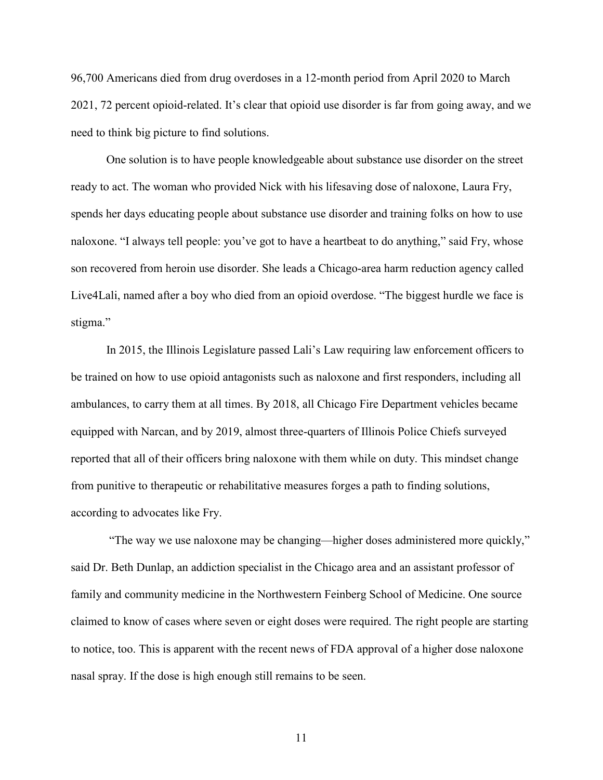96,700 Americans died from drug overdoses in a 12-month period from April 2020 to March 2021, 72 percent opioid-related. It's clear that opioid use disorder is far from going away, and we need to think big picture to find solutions.

One solution is to have people knowledgeable about substance use disorder on the street ready to act. The woman who provided Nick with his lifesaving dose of naloxone, Laura Fry, spends her days educating people about substance use disorder and training folks on how to use naloxone. "I always tell people: you've got to have a heartbeat to do anything," said Fry, whose son recovered from heroin use disorder. She leads a Chicago-area harm reduction agency called Live4Lali, named after a boy who died from an opioid overdose. "The biggest hurdle we face is stigma."

In 2015, the Illinois Legislature passed Lali's Law requiring law enforcement officers to be trained on how to use opioid antagonists such as naloxone and first responders, including all ambulances, to carry them at all times. By 2018, all Chicago Fire Department vehicles became equipped with Narcan, and by 2019, almost three-quarters of Illinois Police Chiefs surveyed reported that all of their officers bring naloxone with them while on duty. This mindset change from punitive to therapeutic or rehabilitative measures forges a path to finding solutions, according to advocates like Fry.

"The way we use naloxone may be changing—higher doses administered more quickly," said Dr. Beth Dunlap, an addiction specialist in the Chicago area and an assistant professor of family and community medicine in the Northwestern Feinberg School of Medicine. One source claimed to know of cases where seven or eight doses were required. The right people are starting to notice, too. This is apparent with the recent news of FDA approval of a higher dose naloxone nasal spray. If the dose is high enough still remains to be seen.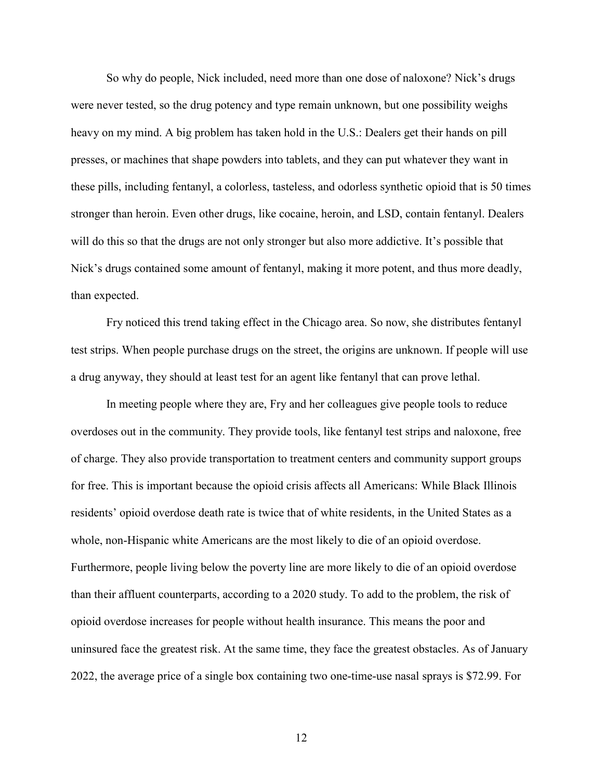So why do people, Nick included, need more than one dose of naloxone? Nick's drugs were never tested, so the drug potency and type remain unknown, but one possibility weighs heavy on my mind. A big problem has taken hold in the U.S.: Dealers get their hands on pill presses, or machines that shape powders into tablets, and they can put whatever they want in these pills, including fentanyl, a colorless, tasteless, and odorless synthetic opioid that is 50 times stronger than heroin. Even other drugs, like cocaine, heroin, and LSD, contain fentanyl. Dealers will do this so that the drugs are not only stronger but also more addictive. It's possible that Nick's drugs contained some amount of fentanyl, making it more potent, and thus more deadly, than expected.

Fry noticed this trend taking effect in the Chicago area. So now, she distributes fentanyl test strips. When people purchase drugs on the street, the origins are unknown. If people will use a drug anyway, they should at least test for an agent like fentanyl that can prove lethal.

In meeting people where they are, Fry and her colleagues give people tools to reduce overdoses out in the community. They provide tools, like fentanyl test strips and naloxone, free of charge. They also provide transportation to treatment centers and community support groups for free. This is important because the opioid crisis affects all Americans: While Black Illinois residents' opioid overdose death rate is twice that of white residents, in the United States as a whole, non-Hispanic white Americans are the most likely to die of an opioid overdose. Furthermore, people living below the poverty line are more likely to die of an opioid overdose than their affluent counterparts, according to a 2020 study. To add to the problem, the risk of opioid overdose increases for people without health insurance. This means the poor and uninsured face the greatest risk. At the same time, they face the greatest obstacles. As of January 2022, the average price of a single box containing two one-time-use nasal sprays is \$72.99. For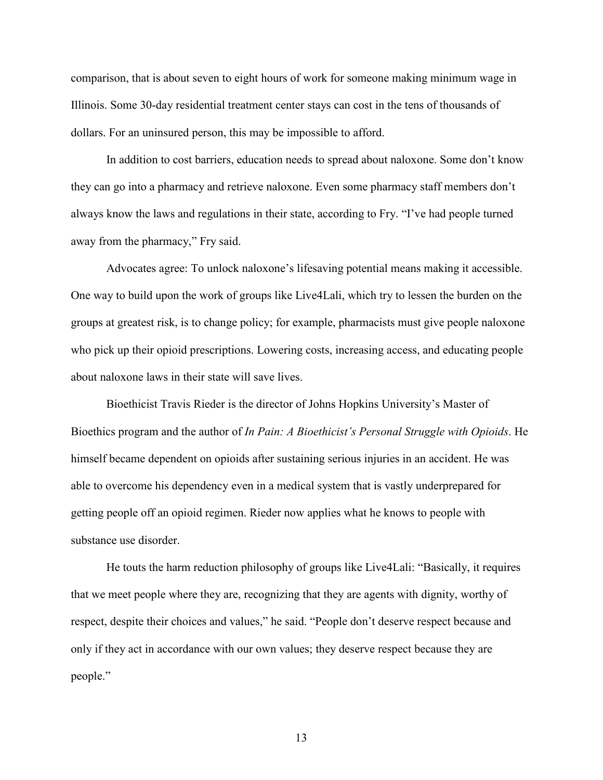comparison, that is about seven to eight hours of work for someone making minimum wage in Illinois. Some 30-day residential treatment center stays can cost in the tens of thousands of dollars. For an uninsured person, this may be impossible to afford.

In addition to cost barriers, education needs to spread about naloxone. Some don't know they can go into a pharmacy and retrieve naloxone. Even some pharmacy staff members don't always know the laws and regulations in their state, according to Fry. "I've had people turned away from the pharmacy," Fry said.

Advocates agree: To unlock naloxone's lifesaving potential means making it accessible. One way to build upon the work of groups like Live4Lali, which try to lessen the burden on the groups at greatest risk, is to change policy; for example, pharmacists must give people naloxone who pick up their opioid prescriptions. Lowering costs, increasing access, and educating people about naloxone laws in their state will save lives.

Bioethicist Travis Rieder is the director of Johns Hopkins University's Master of Bioethics program and the author of *In Pain: A Bioethicist's Personal Struggle with Opioids*. He himself became dependent on opioids after sustaining serious injuries in an accident. He was able to overcome his dependency even in a medical system that is vastly underprepared for getting people off an opioid regimen. Rieder now applies what he knows to people with substance use disorder.

He touts the harm reduction philosophy of groups like Live4Lali: "Basically, it requires that we meet people where they are, recognizing that they are agents with dignity, worthy of respect, despite their choices and values," he said. "People don't deserve respect because and only if they act in accordance with our own values; they deserve respect because they are people."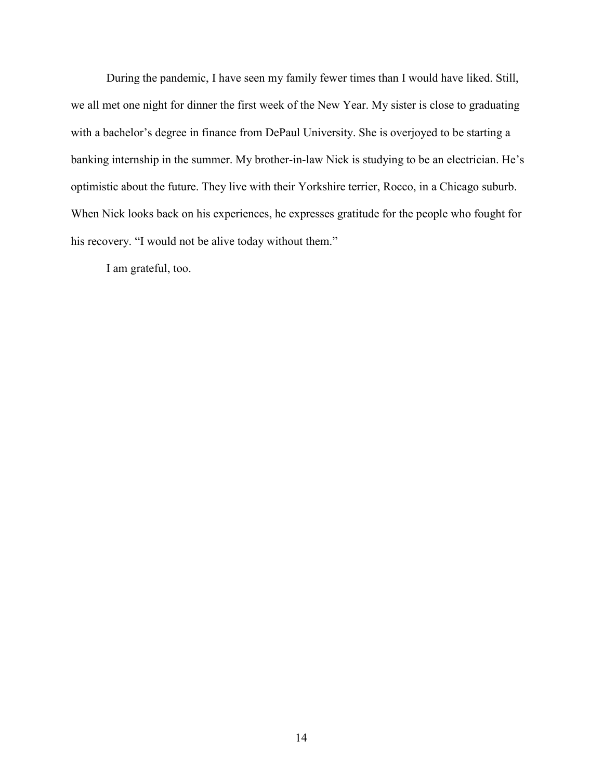During the pandemic, I have seen my family fewer times than I would have liked. Still, we all met one night for dinner the first week of the New Year. My sister is close to graduating with a bachelor's degree in finance from DePaul University. She is overjoyed to be starting a banking internship in the summer. My brother-in-law Nick is studying to be an electrician. He's optimistic about the future. They live with their Yorkshire terrier, Rocco, in a Chicago suburb. When Nick looks back on his experiences, he expresses gratitude for the people who fought for his recovery. "I would not be alive today without them."

I am grateful, too.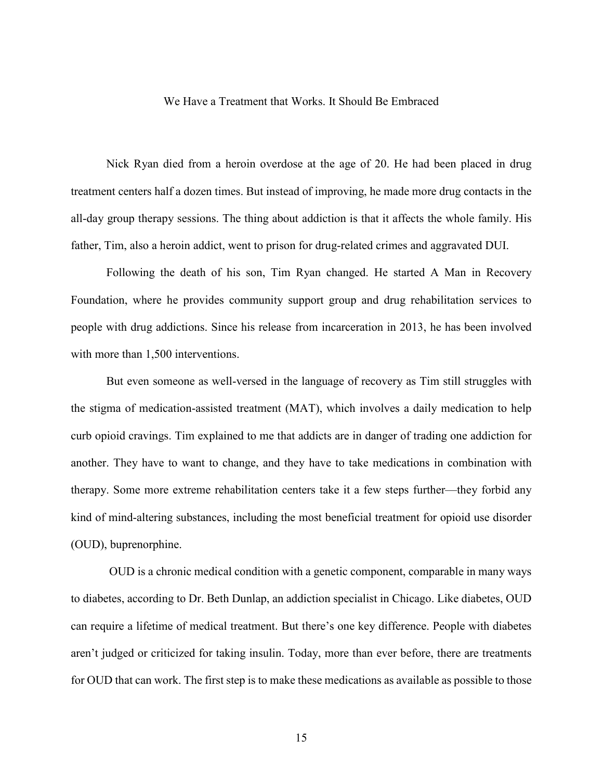#### We Have a Treatment that Works. It Should Be Embraced

<span id="page-17-0"></span>Nick Ryan died from a heroin overdose at the age of 20. He had been placed in drug treatment centers half a dozen times. But instead of improving, he made more drug contacts in the all-day group therapy sessions. The thing about addiction is that it affects the whole family. His father, Tim, also a heroin addict, went to prison for drug-related crimes and aggravated DUI.

Following the death of his son, Tim Ryan changed. He started A Man in Recovery Foundation, where he provides community support group and drug rehabilitation services to people with drug addictions. Since his release from incarceration in 2013, he has been involved with more than 1,500 interventions.

But even someone as well-versed in the language of recovery as Tim still struggles with the stigma of medication-assisted treatment (MAT), which involves a daily medication to help curb opioid cravings. Tim explained to me that addicts are in danger of trading one addiction for another. They have to want to change, and they have to take medications in combination with therapy. Some more extreme rehabilitation centers take it a few steps further—they forbid any kind of mind-altering substances, including the most beneficial treatment for opioid use disorder (OUD), buprenorphine.

OUD is a chronic medical condition with a genetic component, comparable in many ways to diabetes, according to Dr. Beth Dunlap, an addiction specialist in Chicago. Like diabetes, OUD can require a lifetime of medical treatment. But there's one key difference. People with diabetes aren't judged or criticized for taking insulin. Today, more than ever before, there are treatments for OUD that can work. The first step is to make these medications as available as possible to those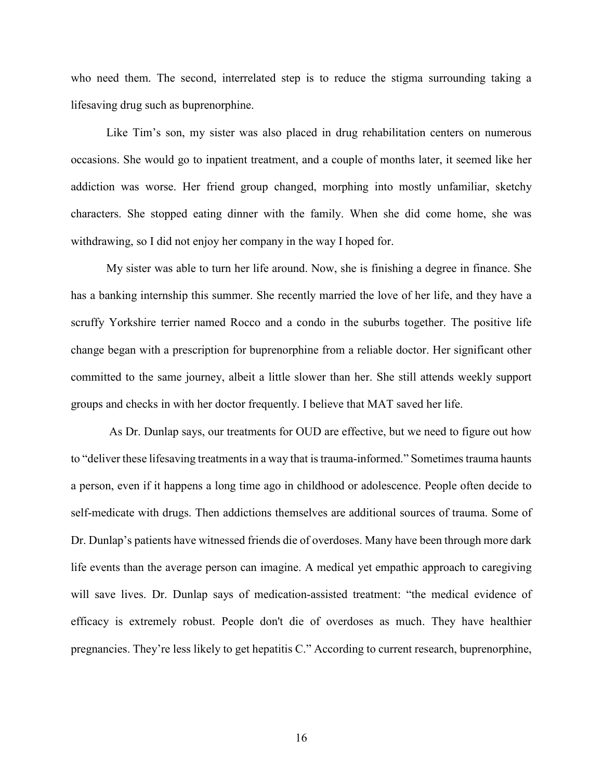who need them. The second, interrelated step is to reduce the stigma surrounding taking a lifesaving drug such as buprenorphine.

Like Tim's son, my sister was also placed in drug rehabilitation centers on numerous occasions. She would go to inpatient treatment, and a couple of months later, it seemed like her addiction was worse. Her friend group changed, morphing into mostly unfamiliar, sketchy characters. She stopped eating dinner with the family. When she did come home, she was withdrawing, so I did not enjoy her company in the way I hoped for.

My sister was able to turn her life around. Now, she is finishing a degree in finance. She has a banking internship this summer. She recently married the love of her life, and they have a scruffy Yorkshire terrier named Rocco and a condo in the suburbs together. The positive life change began with a prescription for buprenorphine from a reliable doctor. Her significant other committed to the same journey, albeit a little slower than her. She still attends weekly support groups and checks in with her doctor frequently. I believe that MAT saved her life.

As Dr. Dunlap says, our treatments for OUD are effective, but we need to figure out how to "deliver these lifesaving treatments in a way that is trauma-informed." Sometimes trauma haunts a person, even if it happens a long time ago in childhood or adolescence. People often decide to self-medicate with drugs. Then addictions themselves are additional sources of trauma. Some of Dr. Dunlap's patients have witnessed friends die of overdoses. Many have been through more dark life events than the average person can imagine. A medical yet empathic approach to caregiving will save lives. Dr. Dunlap says of medication-assisted treatment: "the medical evidence of efficacy is extremely robust. People don't die of overdoses as much. They have healthier pregnancies. They're less likely to get hepatitis C." According to current research, buprenorphine,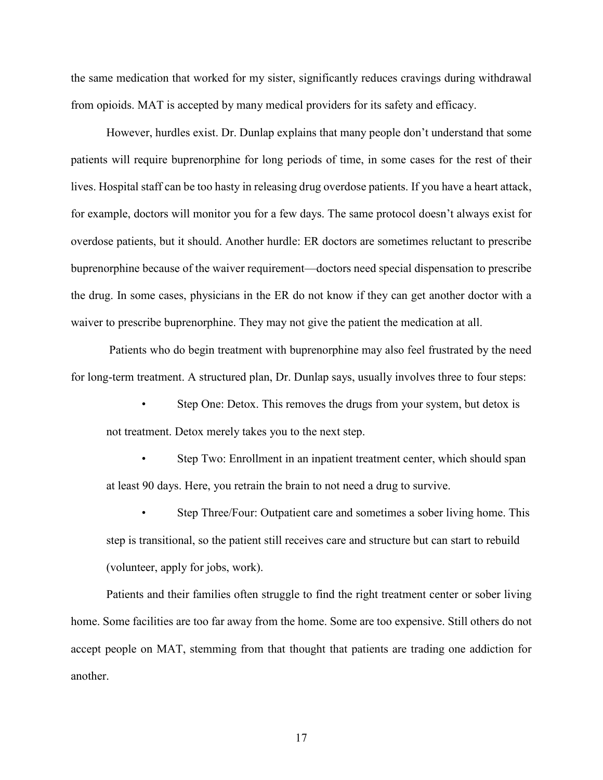the same medication that worked for my sister, significantly reduces cravings during withdrawal from opioids. MAT is accepted by many medical providers for its safety and efficacy.

However, hurdles exist. Dr. Dunlap explains that many people don't understand that some patients will require buprenorphine for long periods of time, in some cases for the rest of their lives. Hospital staff can be too hasty in releasing drug overdose patients. If you have a heart attack, for example, doctors will monitor you for a few days. The same protocol doesn't always exist for overdose patients, but it should. Another hurdle: ER doctors are sometimes reluctant to prescribe buprenorphine because of the waiver requirement—doctors need special dispensation to prescribe the drug. In some cases, physicians in the ER do not know if they can get another doctor with a waiver to prescribe buprenorphine. They may not give the patient the medication at all.

Patients who do begin treatment with buprenorphine may also feel frustrated by the need for long-term treatment. A structured plan, Dr. Dunlap says, usually involves three to four steps:

- Step One: Detox. This removes the drugs from your system, but detox is not treatment. Detox merely takes you to the next step.
- Step Two: Enrollment in an inpatient treatment center, which should span at least 90 days. Here, you retrain the brain to not need a drug to survive.
- Step Three/Four: Outpatient care and sometimes a sober living home. This step is transitional, so the patient still receives care and structure but can start to rebuild (volunteer, apply for jobs, work).

Patients and their families often struggle to find the right treatment center or sober living home. Some facilities are too far away from the home. Some are too expensive. Still others do not accept people on MAT, stemming from that thought that patients are trading one addiction for another.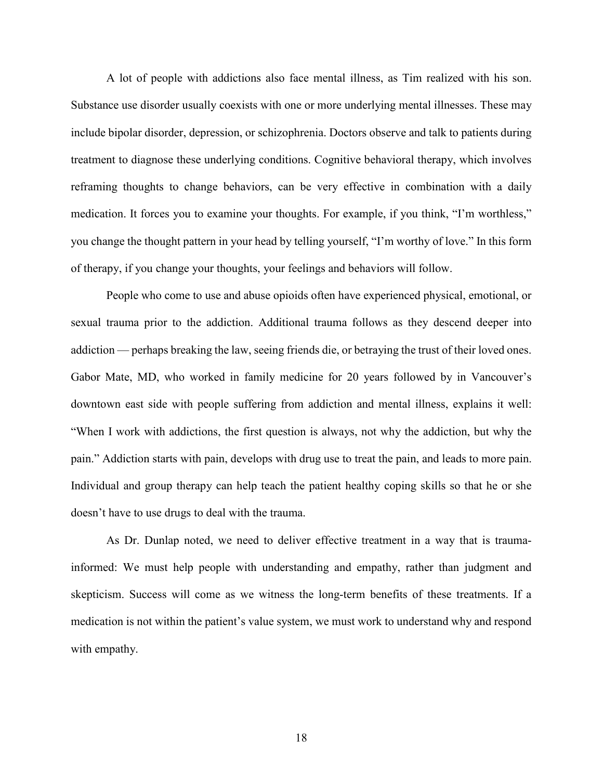A lot of people with addictions also face mental illness, as Tim realized with his son. Substance use disorder usually coexists with one or more underlying mental illnesses. These may include bipolar disorder, depression, or schizophrenia. Doctors observe and talk to patients during treatment to diagnose these underlying conditions. Cognitive behavioral therapy, which involves reframing thoughts to change behaviors, can be very effective in combination with a daily medication. It forces you to examine your thoughts. For example, if you think, "I'm worthless," you change the thought pattern in your head by telling yourself, "I'm worthy of love." In this form of therapy, if you change your thoughts, your feelings and behaviors will follow.

People who come to use and abuse opioids often have experienced physical, emotional, or sexual trauma prior to the addiction. Additional trauma follows as they descend deeper into addiction — perhaps breaking the law, seeing friends die, or betraying the trust of their loved ones. Gabor Mate, MD, who worked in family medicine for 20 years followed by in Vancouver's downtown east side with people suffering from addiction and mental illness, explains it well: "When I work with addictions, the first question is always, not why the addiction, but why the pain." Addiction starts with pain, develops with drug use to treat the pain, and leads to more pain. Individual and group therapy can help teach the patient healthy coping skills so that he or she doesn't have to use drugs to deal with the trauma.

As Dr. Dunlap noted, we need to deliver effective treatment in a way that is traumainformed: We must help people with understanding and empathy, rather than judgment and skepticism. Success will come as we witness the long-term benefits of these treatments. If a medication is not within the patient's value system, we must work to understand why and respond with empathy.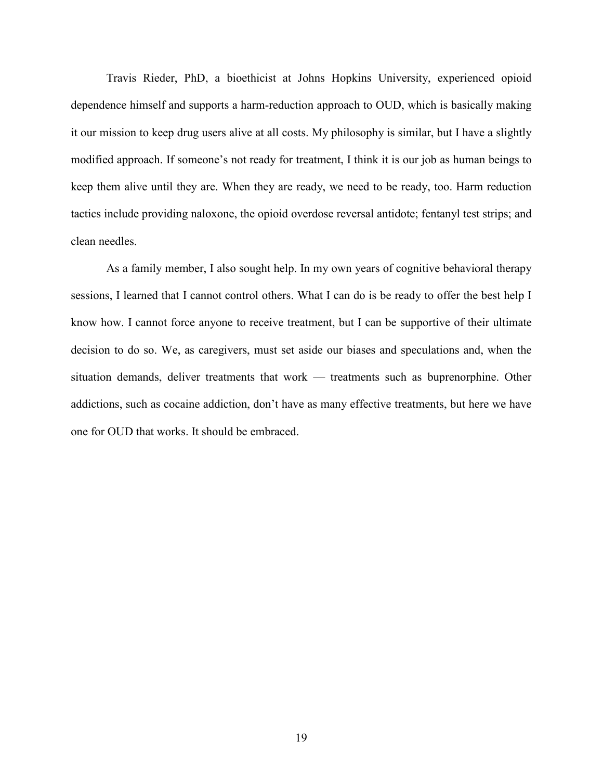Travis Rieder, PhD, a bioethicist at Johns Hopkins University, experienced opioid dependence himself and supports a harm-reduction approach to OUD, which is basically making it our mission to keep drug users alive at all costs. My philosophy is similar, but I have a slightly modified approach. If someone's not ready for treatment, I think it is our job as human beings to keep them alive until they are. When they are ready, we need to be ready, too. Harm reduction tactics include providing naloxone, the opioid overdose reversal antidote; fentanyl test strips; and clean needles.

As a family member, I also sought help. In my own years of cognitive behavioral therapy sessions, I learned that I cannot control others. What I can do is be ready to offer the best help I know how. I cannot force anyone to receive treatment, but I can be supportive of their ultimate decision to do so. We, as caregivers, must set aside our biases and speculations and, when the situation demands, deliver treatments that work — treatments such as buprenorphine. Other addictions, such as cocaine addiction, don't have as many effective treatments, but here we have one for OUD that works. It should be embraced.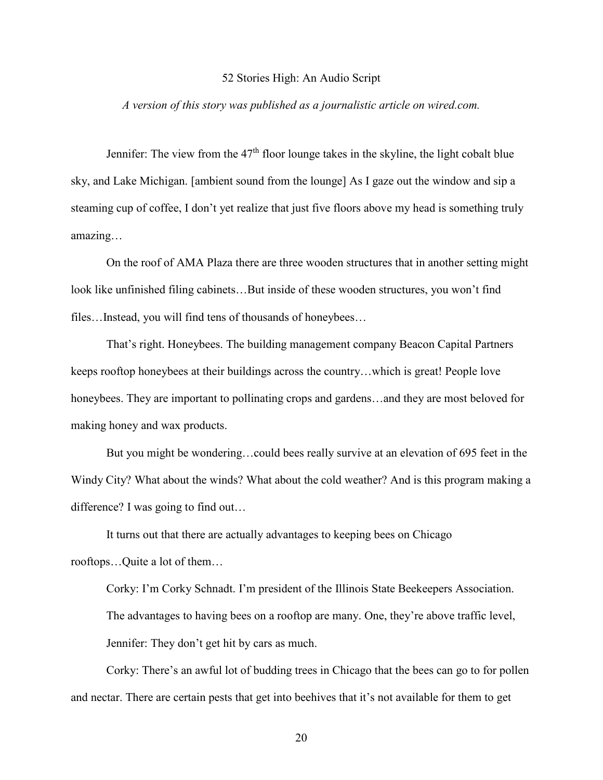#### 52 Stories High: An Audio Script

### <span id="page-22-0"></span>*A version of this story was published as a journalistic article on wired.com.*

Jennifer: The view from the  $47<sup>th</sup>$  floor lounge takes in the skyline, the light cobalt blue sky, and Lake Michigan. [ambient sound from the lounge] As I gaze out the window and sip a steaming cup of coffee, I don't yet realize that just five floors above my head is something truly amazing…

On the roof of AMA Plaza there are three wooden structures that in another setting might look like unfinished filing cabinets...But inside of these wooden structures, you won't find files…Instead, you will find tens of thousands of honeybees…

That's right. Honeybees. The building management company Beacon Capital Partners keeps rooftop honeybees at their buildings across the country…which is great! People love honeybees. They are important to pollinating crops and gardens...and they are most beloved for making honey and wax products.

But you might be wondering…could bees really survive at an elevation of 695 feet in the Windy City? What about the winds? What about the cold weather? And is this program making a difference? I was going to find out…

It turns out that there are actually advantages to keeping bees on Chicago rooftops…Quite a lot of them…

Corky: I'm Corky Schnadt. I'm president of the Illinois State Beekeepers Association. The advantages to having bees on a rooftop are many. One, they're above traffic level, Jennifer: They don't get hit by cars as much.

Corky: There's an awful lot of budding trees in Chicago that the bees can go to for pollen and nectar. There are certain pests that get into beehives that it's not available for them to get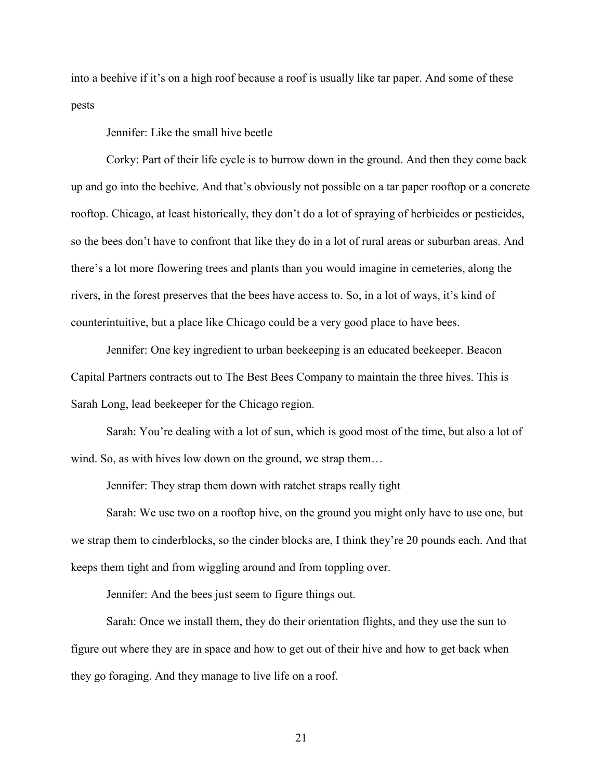into a beehive if it's on a high roof because a roof is usually like tar paper. And some of these pests

Jennifer: Like the small hive beetle

Corky: Part of their life cycle is to burrow down in the ground. And then they come back up and go into the beehive. And that's obviously not possible on a tar paper rooftop or a concrete rooftop. Chicago, at least historically, they don't do a lot of spraying of herbicides or pesticides, so the bees don't have to confront that like they do in a lot of rural areas or suburban areas. And there's a lot more flowering trees and plants than you would imagine in cemeteries, along the rivers, in the forest preserves that the bees have access to. So, in a lot of ways, it's kind of counterintuitive, but a place like Chicago could be a very good place to have bees.

Jennifer: One key ingredient to urban beekeeping is an educated beekeeper. Beacon Capital Partners contracts out to The Best Bees Company to maintain the three hives. This is Sarah Long, lead beekeeper for the Chicago region.

Sarah: You're dealing with a lot of sun, which is good most of the time, but also a lot of wind. So, as with hives low down on the ground, we strap them…

Jennifer: They strap them down with ratchet straps really tight

Sarah: We use two on a rooftop hive, on the ground you might only have to use one, but we strap them to cinderblocks, so the cinder blocks are, I think they're 20 pounds each. And that keeps them tight and from wiggling around and from toppling over.

Jennifer: And the bees just seem to figure things out.

Sarah: Once we install them, they do their orientation flights, and they use the sun to figure out where they are in space and how to get out of their hive and how to get back when they go foraging. And they manage to live life on a roof.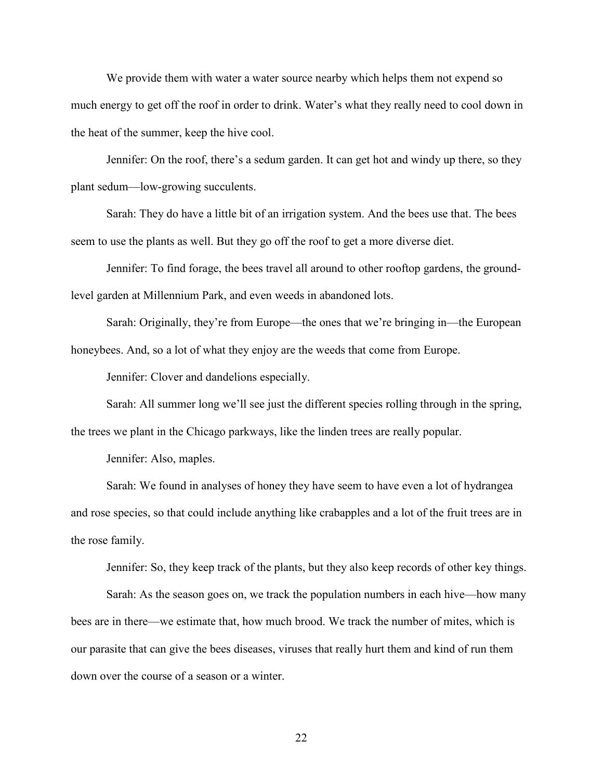We provide them with water a water source nearby which helps them not expend so much energy to get off the roof in order to drink. Water's what they really need to cool down in the heat of the summer, keep the hive cool.

Jennifer: On the roof, there's a sedum garden. It can get hot and windy up there, so they plant sedum—low-growing succulents.

Sarah: They do have a little bit of an irrigation system. And the bees use that. The bees seem to use the plants as well. But they go off the roof to get a more diverse diet.

Jennifer: To find forage, the bees travel all around to other rooftop gardens, the groundlevel garden at Millennium Park, and even weeds in abandoned lots.

Sarah: Originally, they're from Europe—the ones that we're bringing in—the European honeybees. And, so a lot of what they enjoy are the weeds that come from Europe.

Jennifer: Clover and dandelions especially.

Sarah: All summer long we'll see just the different species rolling through in the spring, the trees we plant in the Chicago parkways, like the linden trees are really popular.

Jennifer: Also, maples.

Sarah: We found in analyses of honey they have seem to have even a lot of hydrangea and rose species, so that could include anything like crabapples and a lot of the fruit trees are in the rose family.

Jennifer: So, they keep track of the plants, but they also keep records of other key things.

Sarah: As the season goes on, we track the population numbers in each hive—how many bees are in there—we estimate that, how much brood. We track the number of mites, which is our parasite that can give the bees diseases, viruses that really hurt them and kind of run them down over the course of a season or a winter.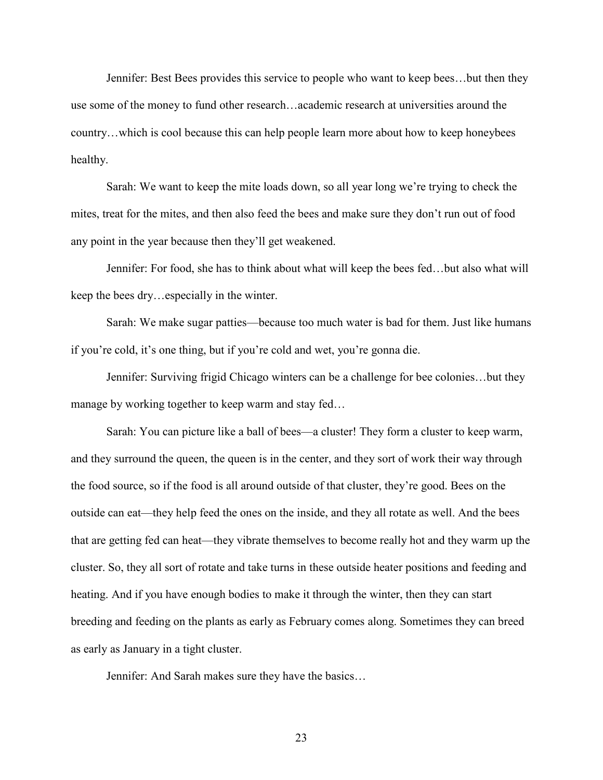Jennifer: Best Bees provides this service to people who want to keep bees…but then they use some of the money to fund other research…academic research at universities around the country…which is cool because this can help people learn more about how to keep honeybees healthy.

Sarah: We want to keep the mite loads down, so all year long we're trying to check the mites, treat for the mites, and then also feed the bees and make sure they don't run out of food any point in the year because then they'll get weakened.

Jennifer: For food, she has to think about what will keep the bees fed…but also what will keep the bees dry…especially in the winter.

Sarah: We make sugar patties—because too much water is bad for them. Just like humans if you're cold, it's one thing, but if you're cold and wet, you're gonna die.

Jennifer: Surviving frigid Chicago winters can be a challenge for bee colonies…but they manage by working together to keep warm and stay fed…

Sarah: You can picture like a ball of bees—a cluster! They form a cluster to keep warm, and they surround the queen, the queen is in the center, and they sort of work their way through the food source, so if the food is all around outside of that cluster, they're good. Bees on the outside can eat—they help feed the ones on the inside, and they all rotate as well. And the bees that are getting fed can heat—they vibrate themselves to become really hot and they warm up the cluster. So, they all sort of rotate and take turns in these outside heater positions and feeding and heating. And if you have enough bodies to make it through the winter, then they can start breeding and feeding on the plants as early as February comes along. Sometimes they can breed as early as January in a tight cluster.

Jennifer: And Sarah makes sure they have the basics…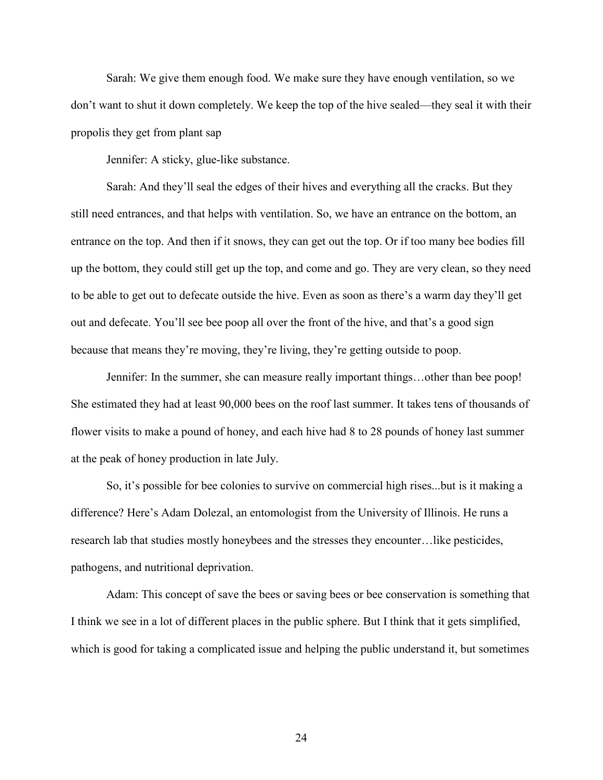Sarah: We give them enough food. We make sure they have enough ventilation, so we don't want to shut it down completely. We keep the top of the hive sealed—they seal it with their propolis they get from plant sap

Jennifer: A sticky, glue-like substance.

Sarah: And they'll seal the edges of their hives and everything all the cracks. But they still need entrances, and that helps with ventilation. So, we have an entrance on the bottom, an entrance on the top. And then if it snows, they can get out the top. Or if too many bee bodies fill up the bottom, they could still get up the top, and come and go. They are very clean, so they need to be able to get out to defecate outside the hive. Even as soon as there's a warm day they'll get out and defecate. You'll see bee poop all over the front of the hive, and that's a good sign because that means they're moving, they're living, they're getting outside to poop.

Jennifer: In the summer, she can measure really important things…other than bee poop! She estimated they had at least 90,000 bees on the roof last summer. It takes tens of thousands of flower visits to make a pound of honey, and each hive had 8 to 28 pounds of honey last summer at the peak of honey production in late July.

So, it's possible for bee colonies to survive on commercial high rises...but is it making a difference? Here's Adam Dolezal, an entomologist from the University of Illinois. He runs a research lab that studies mostly honeybees and the stresses they encounter…like pesticides, pathogens, and nutritional deprivation.

Adam: This concept of save the bees or saving bees or bee conservation is something that I think we see in a lot of different places in the public sphere. But I think that it gets simplified, which is good for taking a complicated issue and helping the public understand it, but sometimes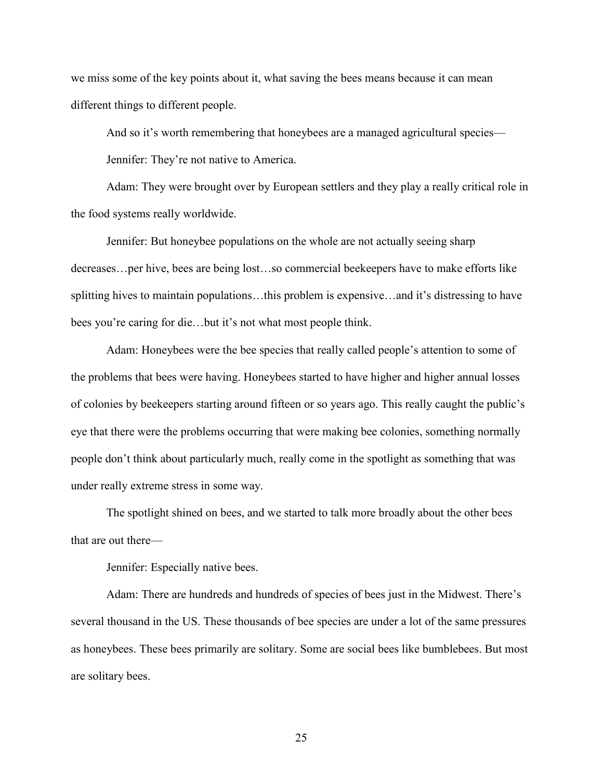we miss some of the key points about it, what saving the bees means because it can mean different things to different people.

And so it's worth remembering that honeybees are a managed agricultural species—

Jennifer: They're not native to America.

Adam: They were brought over by European settlers and they play a really critical role in the food systems really worldwide.

Jennifer: But honeybee populations on the whole are not actually seeing sharp decreases…per hive, bees are being lost…so commercial beekeepers have to make efforts like splitting hives to maintain populations…this problem is expensive…and it's distressing to have bees you're caring for die…but it's not what most people think.

Adam: Honeybees were the bee species that really called people's attention to some of the problems that bees were having. Honeybees started to have higher and higher annual losses of colonies by beekeepers starting around fifteen or so years ago. This really caught the public's eye that there were the problems occurring that were making bee colonies, something normally people don't think about particularly much, really come in the spotlight as something that was under really extreme stress in some way.

The spotlight shined on bees, and we started to talk more broadly about the other bees that are out there—

Jennifer: Especially native bees.

Adam: There are hundreds and hundreds of species of bees just in the Midwest. There's several thousand in the US. These thousands of bee species are under a lot of the same pressures as honeybees. These bees primarily are solitary. Some are social bees like bumblebees. But most are solitary bees.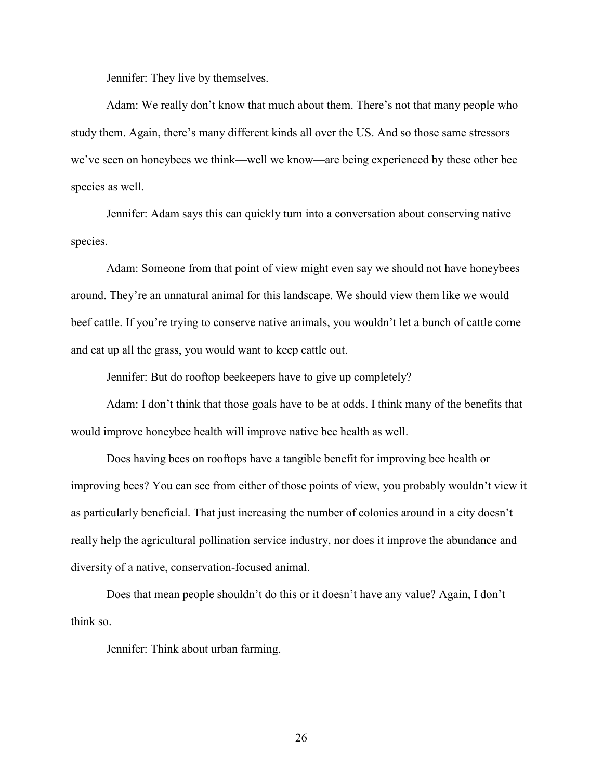Jennifer: They live by themselves.

Adam: We really don't know that much about them. There's not that many people who study them. Again, there's many different kinds all over the US. And so those same stressors we've seen on honeybees we think—well we know—are being experienced by these other bee species as well.

Jennifer: Adam says this can quickly turn into a conversation about conserving native species.

Adam: Someone from that point of view might even say we should not have honeybees around. They're an unnatural animal for this landscape. We should view them like we would beef cattle. If you're trying to conserve native animals, you wouldn't let a bunch of cattle come and eat up all the grass, you would want to keep cattle out.

Jennifer: But do rooftop beekeepers have to give up completely?

Adam: I don't think that those goals have to be at odds. I think many of the benefits that would improve honeybee health will improve native bee health as well.

Does having bees on rooftops have a tangible benefit for improving bee health or improving bees? You can see from either of those points of view, you probably wouldn't view it as particularly beneficial. That just increasing the number of colonies around in a city doesn't really help the agricultural pollination service industry, nor does it improve the abundance and diversity of a native, conservation-focused animal.

Does that mean people shouldn't do this or it doesn't have any value? Again, I don't think so.

Jennifer: Think about urban farming.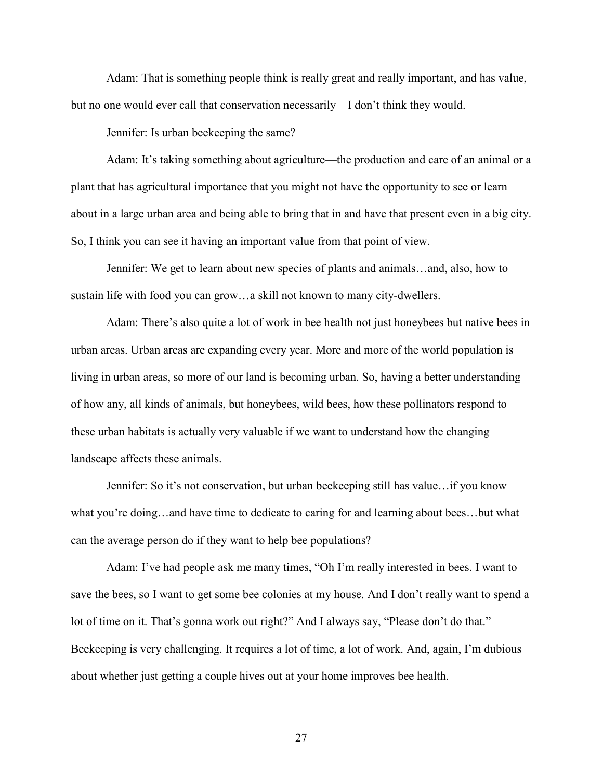Adam: That is something people think is really great and really important, and has value, but no one would ever call that conservation necessarily—I don't think they would.

Jennifer: Is urban beekeeping the same?

Adam: It's taking something about agriculture—the production and care of an animal or a plant that has agricultural importance that you might not have the opportunity to see or learn about in a large urban area and being able to bring that in and have that present even in a big city. So, I think you can see it having an important value from that point of view.

Jennifer: We get to learn about new species of plants and animals…and, also, how to sustain life with food you can grow…a skill not known to many city-dwellers.

Adam: There's also quite a lot of work in bee health not just honeybees but native bees in urban areas. Urban areas are expanding every year. More and more of the world population is living in urban areas, so more of our land is becoming urban. So, having a better understanding of how any, all kinds of animals, but honeybees, wild bees, how these pollinators respond to these urban habitats is actually very valuable if we want to understand how the changing landscape affects these animals.

Jennifer: So it's not conservation, but urban beekeeping still has value…if you know what you're doing…and have time to dedicate to caring for and learning about bees…but what can the average person do if they want to help bee populations?

Adam: I've had people ask me many times, "Oh I'm really interested in bees. I want to save the bees, so I want to get some bee colonies at my house. And I don't really want to spend a lot of time on it. That's gonna work out right?" And I always say, "Please don't do that." Beekeeping is very challenging. It requires a lot of time, a lot of work. And, again, I'm dubious about whether just getting a couple hives out at your home improves bee health.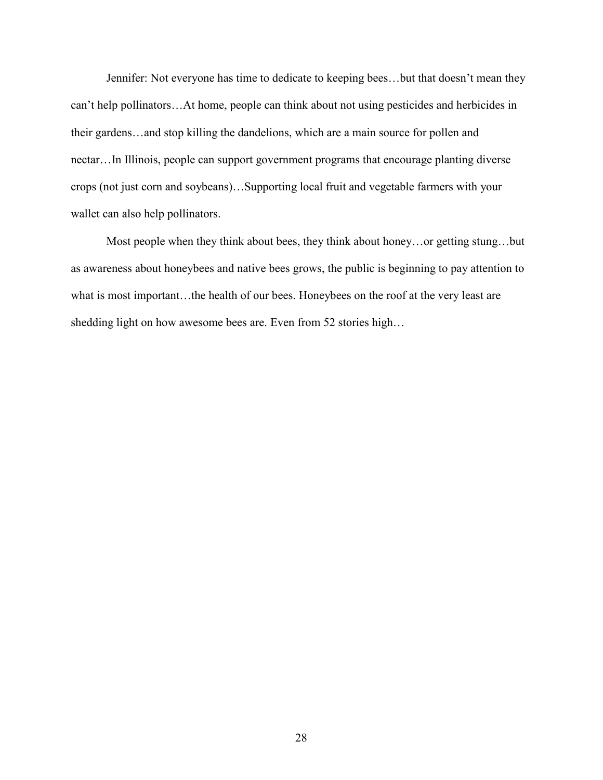Jennifer: Not everyone has time to dedicate to keeping bees…but that doesn't mean they can't help pollinators…At home, people can think about not using pesticides and herbicides in their gardens…and stop killing the dandelions, which are a main source for pollen and nectar…In Illinois, people can support government programs that encourage planting diverse crops (not just corn and soybeans)…Supporting local fruit and vegetable farmers with your wallet can also help pollinators.

Most people when they think about bees, they think about honey…or getting stung…but as awareness about honeybees and native bees grows, the public is beginning to pay attention to what is most important…the health of our bees. Honeybees on the roof at the very least are shedding light on how awesome bees are. Even from 52 stories high…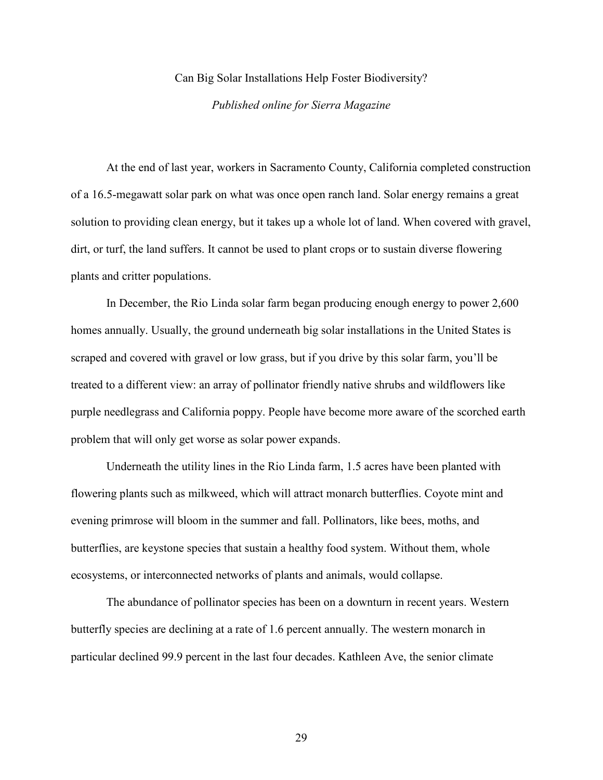#### Can Big Solar Installations Help Foster Biodiversity?

#### *Published online for Sierra Magazine*

<span id="page-31-0"></span>At the end of last year, workers in Sacramento County, California completed construction of a 16.5-megawatt solar park on what was once open ranch land. Solar energy remains a great solution to providing clean energy, but it takes up a whole lot of land. When covered with gravel, dirt, or turf, the land suffers. It cannot be used to plant crops or to sustain diverse flowering plants and critter populations.

In December, the Rio Linda solar farm began producing enough energy to power 2,600 homes annually. Usually, the ground underneath big solar installations in the United States is scraped and covered with gravel or low grass, but if you drive by this solar farm, you'll be treated to a different view: an array of pollinator friendly native shrubs and wildflowers like purple needlegrass and California poppy. People have become more aware of the scorched earth problem that will only get worse as solar power expands.

Underneath the utility lines in the Rio Linda farm, 1.5 acres have been planted with flowering plants such as milkweed, which will attract monarch butterflies. Coyote mint and evening primrose will bloom in the summer and fall. Pollinators, like bees, moths, and butterflies, are keystone species that sustain a healthy food system. Without them, whole ecosystems, or interconnected networks of plants and animals, would collapse.

The abundance of pollinator species has been on a downturn in recent years. Western butterfly species are declining at a rate of 1.6 percent annually. The western monarch in particular declined 99.9 percent in the last four decades. Kathleen Ave, the senior climate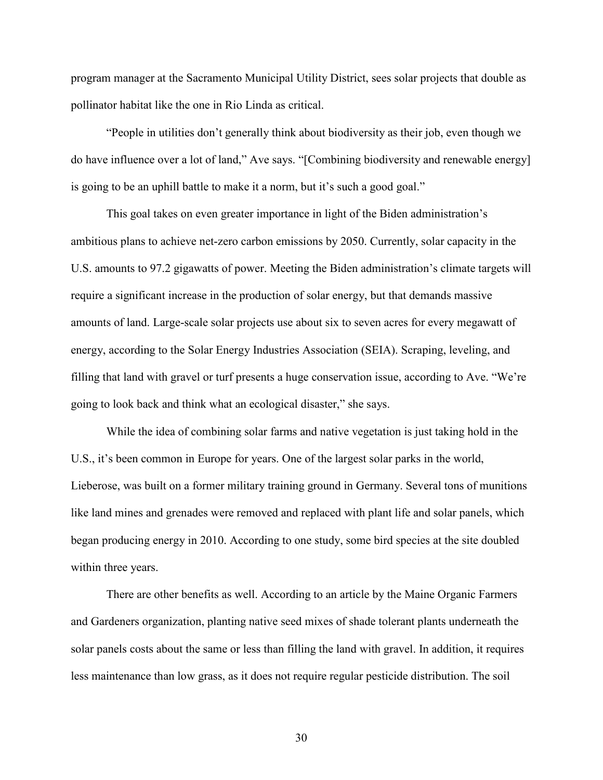program manager at the Sacramento Municipal Utility District, sees solar projects that double as pollinator habitat like the one in Rio Linda as critical.

"People in utilities don't generally think about biodiversity as their job, even though we do have influence over a lot of land," Ave says. "[Combining biodiversity and renewable energy] is going to be an uphill battle to make it a norm, but it's such a good goal."

This goal takes on even greater importance in light of the Biden administration's ambitious plans to achieve net-zero carbon emissions by 2050. Currently, solar capacity in the U.S. amounts to 97.2 gigawatts of power. Meeting the Biden administration's climate targets will require a significant increase in the production of solar energy, but that demands massive amounts of land. Large-scale solar projects use about six to seven acres for every megawatt of energy, according to the Solar Energy Industries Association (SEIA). Scraping, leveling, and filling that land with gravel or turf presents a huge conservation issue, according to Ave. "We're going to look back and think what an ecological disaster," she says.

While the idea of combining solar farms and native vegetation is just taking hold in the U.S., it's been common in Europe for years. One of the largest solar parks in the world, Lieberose, was built on a former military training ground in Germany. Several tons of munitions like land mines and grenades were removed and replaced with plant life and solar panels, which began producing energy in 2010. According to one study, some bird species at the site doubled within three years.

There are other benefits as well. According to an article by the Maine Organic Farmers and Gardeners organization, planting native seed mixes of shade tolerant plants underneath the solar panels costs about the same or less than filling the land with gravel. In addition, it requires less maintenance than low grass, as it does not require regular pesticide distribution. The soil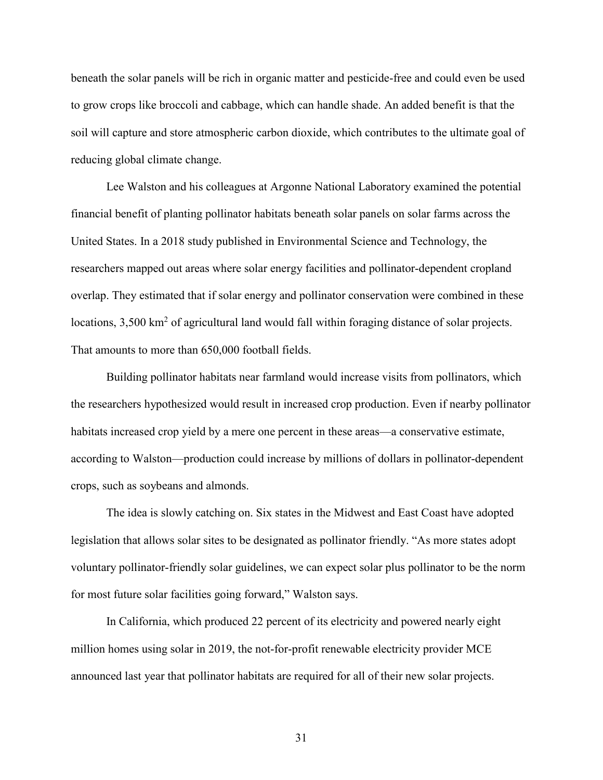beneath the solar panels will be rich in organic matter and pesticide-free and could even be used to grow crops like broccoli and cabbage, which can handle shade. An added benefit is that the soil will capture and store atmospheric carbon dioxide, which contributes to the ultimate goal of reducing global climate change.

Lee Walston and his colleagues at Argonne National Laboratory examined the potential financial benefit of planting pollinator habitats beneath solar panels on solar farms across the United States. In a 2018 study published in Environmental Science and Technology, the researchers mapped out areas where solar energy facilities and pollinator-dependent cropland overlap. They estimated that if solar energy and pollinator conservation were combined in these locations,  $3,500 \text{ km}^2$  of agricultural land would fall within foraging distance of solar projects. That amounts to more than 650,000 football fields.

Building pollinator habitats near farmland would increase visits from pollinators, which the researchers hypothesized would result in increased crop production. Even if nearby pollinator habitats increased crop yield by a mere one percent in these areas—a conservative estimate, according to Walston—production could increase by millions of dollars in pollinator-dependent crops, such as soybeans and almonds.

The idea is slowly catching on. Six states in the Midwest and East Coast have adopted legislation that allows solar sites to be designated as pollinator friendly. "As more states adopt voluntary pollinator-friendly solar guidelines, we can expect solar plus pollinator to be the norm for most future solar facilities going forward," Walston says.

In California, which produced 22 percent of its electricity and powered nearly eight million homes using solar in 2019, the not-for-profit renewable electricity provider MCE announced last year that pollinator habitats are required for all of their new solar projects.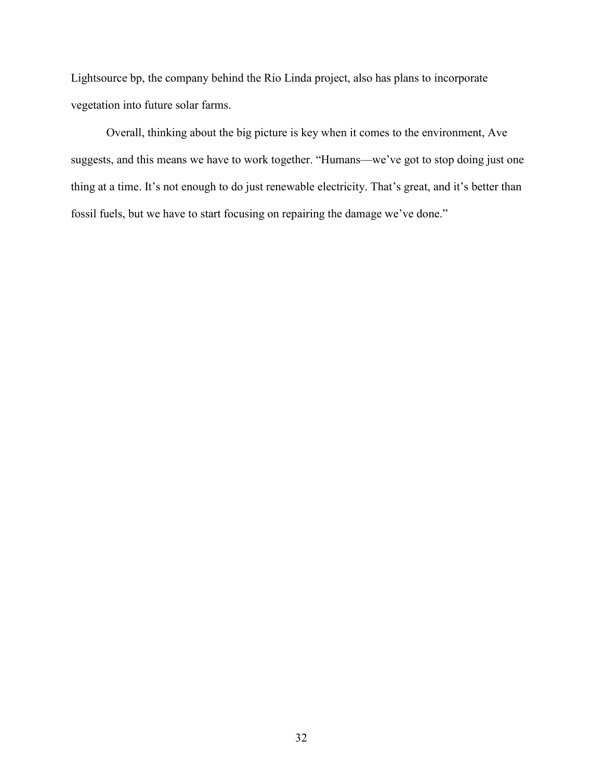Lightsource bp, the company behind the Rio Linda project, also has plans to incorporate vegetation into future solar farms.

Overall, thinking about the big picture is key when it comes to the environment, Ave suggests, and this means we have to work together. "Humans—we've got to stop doing just one thing at a time. It's not enough to do just renewable electricity. That's great, and it's better than fossil fuels, but we have to start focusing on repairing the damage we've done."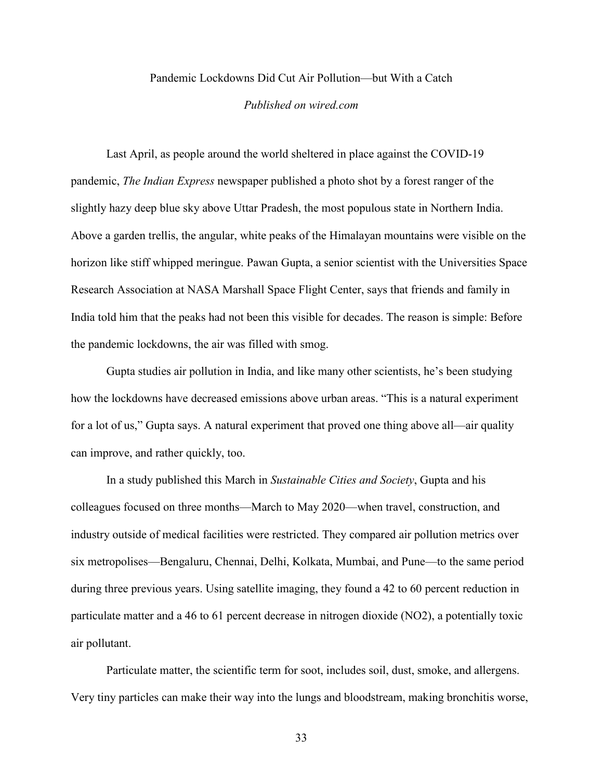## Pandemic Lockdowns Did Cut Air Pollution—but With a Catch

#### *Published on wired.com*

<span id="page-35-0"></span>Last April, as people around the world sheltered in place against the COVID-19 pandemic, *The Indian Express* newspaper published a photo shot by a forest ranger of the slightly hazy deep blue sky above Uttar Pradesh, the most populous state in Northern India. Above a garden trellis, the angular, white peaks of the Himalayan mountains were visible on the horizon like stiff whipped meringue. Pawan Gupta, a senior scientist with the Universities Space Research Association at NASA Marshall Space Flight Center, says that friends and family in India told him that the peaks had not been this visible for decades. The reason is simple: Before the pandemic lockdowns, the air was filled with smog.

Gupta studies air pollution in India, and like many other scientists, he's been studying how the lockdowns have decreased emissions above urban areas. "This is a natural experiment for a lot of us," Gupta says. A natural experiment that proved one thing above all—air quality can improve, and rather quickly, too.

In a study published this March in *Sustainable Cities and Society*, Gupta and his colleagues focused on three months—March to May 2020—when travel, construction, and industry outside of medical facilities were restricted. They compared air pollution metrics over six metropolises—Bengaluru, Chennai, Delhi, Kolkata, Mumbai, and Pune—to the same period during three previous years. Using satellite imaging, they found a 42 to 60 percent reduction in particulate matter and a 46 to 61 percent decrease in nitrogen dioxide (NO2), a potentially toxic air pollutant.

Particulate matter, the scientific term for soot, includes soil, dust, smoke, and allergens. Very tiny particles can make their way into the lungs and bloodstream, making bronchitis worse,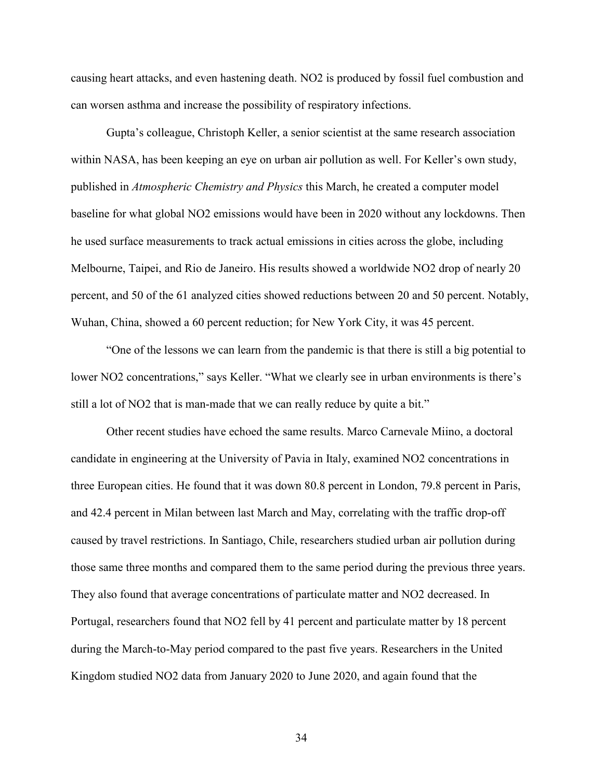causing heart attacks, and even hastening death. NO2 is produced by fossil fuel combustion and can worsen asthma and increase the possibility of respiratory infections.

Gupta's colleague, Christoph Keller, a senior scientist at the same research association within NASA, has been keeping an eye on urban air pollution as well. For Keller's own study, published in *Atmospheric Chemistry and Physics* this March, he created a computer model baseline for what global NO2 emissions would have been in 2020 without any lockdowns. Then he used surface measurements to track actual emissions in cities across the globe, including Melbourne, Taipei, and Rio de Janeiro. His results showed a worldwide NO2 drop of nearly 20 percent, and 50 of the 61 analyzed cities showed reductions between 20 and 50 percent. Notably, Wuhan, China, showed a 60 percent reduction; for New York City, it was 45 percent.

"One of the lessons we can learn from the pandemic is that there is still a big potential to lower NO2 concentrations," says Keller. "What we clearly see in urban environments is there's still a lot of NO2 that is man-made that we can really reduce by quite a bit."

Other recent studies have echoed the same results. Marco Carnevale Miino, a doctoral candidate in engineering at the University of Pavia in Italy, examined NO2 concentrations in three European cities. He found that it was down 80.8 percent in London, 79.8 percent in Paris, and 42.4 percent in Milan between last March and May, correlating with the traffic drop-off caused by travel restrictions. In Santiago, Chile, researchers studied urban air pollution during those same three months and compared them to the same period during the previous three years. They also found that average concentrations of particulate matter and NO2 decreased. In Portugal, researchers found that NO2 fell by 41 percent and particulate matter by 18 percent during the March-to-May period compared to the past five years. Researchers in the United Kingdom studied NO2 data from January 2020 to June 2020, and again found that the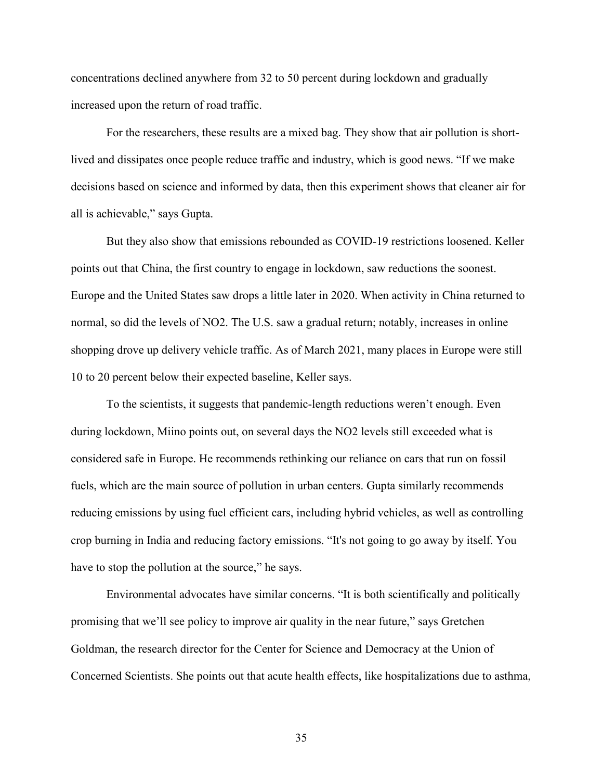concentrations declined anywhere from 32 to 50 percent during lockdown and gradually increased upon the return of road traffic.

For the researchers, these results are a mixed bag. They show that air pollution is shortlived and dissipates once people reduce traffic and industry, which is good news. "If we make decisions based on science and informed by data, then this experiment shows that cleaner air for all is achievable," says Gupta.

But they also show that emissions rebounded as COVID-19 restrictions loosened. Keller points out that China, the first country to engage in lockdown, saw reductions the soonest. Europe and the United States saw drops a little later in 2020. When activity in China returned to normal, so did the levels of NO2. The U.S. saw a gradual return; notably, increases in online shopping drove up delivery vehicle traffic. As of March 2021, many places in Europe were still 10 to 20 percent below their expected baseline, Keller says.

To the scientists, it suggests that pandemic-length reductions weren't enough. Even during lockdown, Miino points out, on several days the NO2 levels still exceeded what is considered safe in Europe. He recommends rethinking our reliance on cars that run on fossil fuels, which are the main source of pollution in urban centers. Gupta similarly recommends reducing emissions by using fuel efficient cars, including hybrid vehicles, as well as controlling crop burning in India and reducing factory emissions. "It's not going to go away by itself. You have to stop the pollution at the source," he says.

Environmental advocates have similar concerns. "It is both scientifically and politically promising that we'll see policy to improve air quality in the near future," says Gretchen Goldman, the research director for the Center for Science and Democracy at the Union of Concerned Scientists. She points out that acute health effects, like hospitalizations due to asthma,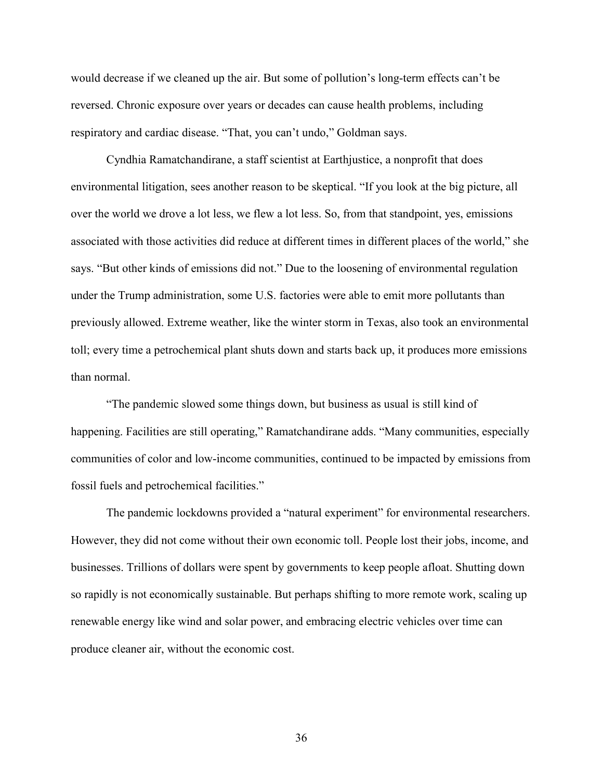would decrease if we cleaned up the air. But some of pollution's long-term effects can't be reversed. Chronic exposure over years or decades can cause health problems, including respiratory and cardiac disease. "That, you can't undo," Goldman says.

Cyndhia Ramatchandirane, a staff scientist at Earthjustice, a nonprofit that does environmental litigation, sees another reason to be skeptical. "If you look at the big picture, all over the world we drove a lot less, we flew a lot less. So, from that standpoint, yes, emissions associated with those activities did reduce at different times in different places of the world," she says. "But other kinds of emissions did not." Due to the loosening of environmental regulation under the Trump administration, some U.S. factories were able to emit more pollutants than previously allowed. Extreme weather, like the winter storm in Texas, also took an environmental toll; every time a petrochemical plant shuts down and starts back up, it produces more emissions than normal.

"The pandemic slowed some things down, but business as usual is still kind of happening. Facilities are still operating," Ramatchandirane adds. "Many communities, especially communities of color and low-income communities, continued to be impacted by emissions from fossil fuels and petrochemical facilities."

The pandemic lockdowns provided a "natural experiment" for environmental researchers. However, they did not come without their own economic toll. People lost their jobs, income, and businesses. Trillions of dollars were spent by governments to keep people afloat. Shutting down so rapidly is not economically sustainable. But perhaps shifting to more remote work, scaling up renewable energy like wind and solar power, and embracing electric vehicles over time can produce cleaner air, without the economic cost.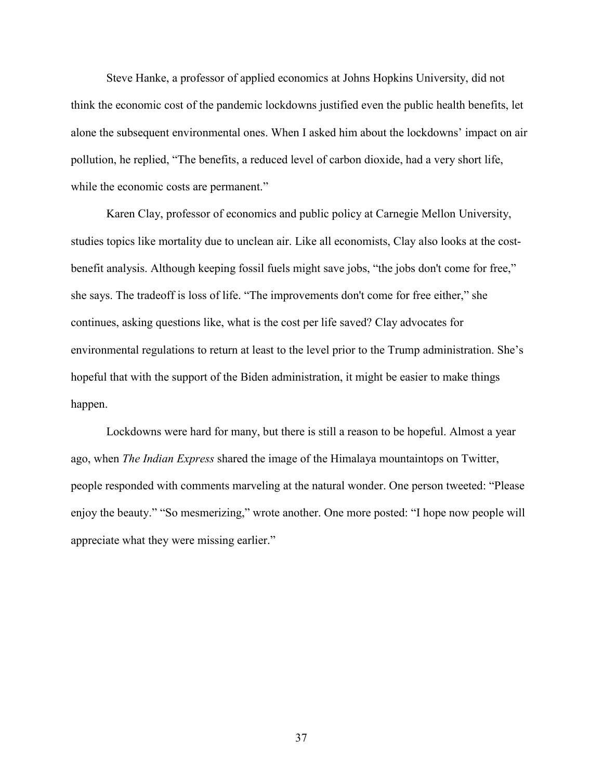Steve Hanke, a professor of applied economics at Johns Hopkins University, did not think the economic cost of the pandemic lockdowns justified even the public health benefits, let alone the subsequent environmental ones. When I asked him about the lockdowns' impact on air pollution, he replied, "The benefits, a reduced level of carbon dioxide, had a very short life, while the economic costs are permanent."

Karen Clay, professor of economics and public policy at Carnegie Mellon University, studies topics like mortality due to unclean air. Like all economists, Clay also looks at the costbenefit analysis. Although keeping fossil fuels might save jobs, "the jobs don't come for free," she says. The tradeoff is loss of life. "The improvements don't come for free either," she continues, asking questions like, what is the cost per life saved? Clay advocates for environmental regulations to return at least to the level prior to the Trump administration. She's hopeful that with the support of the Biden administration, it might be easier to make things happen.

Lockdowns were hard for many, but there is still a reason to be hopeful. Almost a year ago, when *The Indian Express* shared the image of the Himalaya mountaintops on Twitter, people responded with comments marveling at the natural wonder. One person tweeted: "Please enjoy the beauty." "So mesmerizing," wrote another. One more posted: "I hope now people will appreciate what they were missing earlier."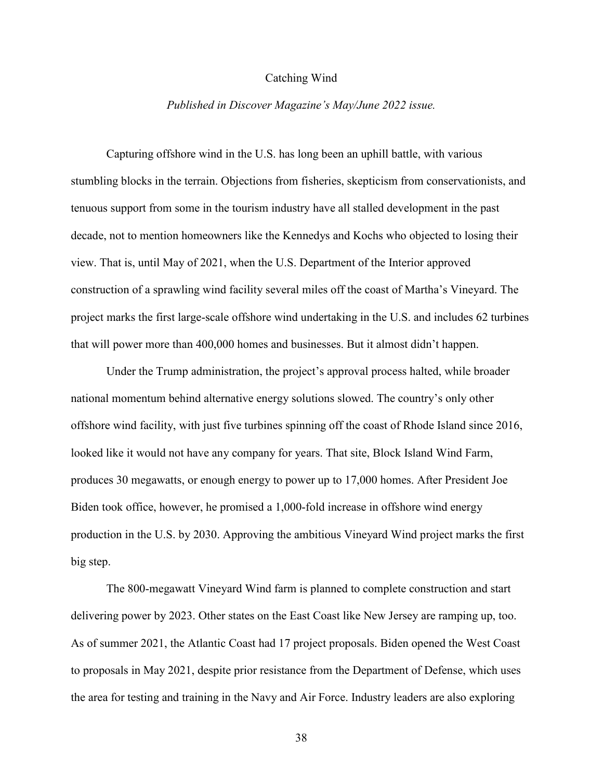## Catching Wind

#### *Published in Discover Magazine's May/June 2022 issue.*

<span id="page-40-0"></span>Capturing offshore wind in the U.S. has long been an uphill battle, with various stumbling blocks in the terrain. Objections from fisheries, skepticism from conservationists, and tenuous support from some in the tourism industry have all stalled development in the past decade, not to mention homeowners like the Kennedys and Kochs who objected to losing their view. That is, until May of 2021, when the U.S. Department of the Interior approved construction of a sprawling wind facility several miles off the coast of Martha's Vineyard. The project marks the first large-scale offshore wind undertaking in the U.S. and includes 62 turbines that will power more than 400,000 homes and businesses. But it almost didn't happen.

Under the Trump administration, the project's approval process halted, while broader national momentum behind alternative energy solutions slowed. The country's only other offshore wind facility, with just five turbines spinning off the coast of Rhode Island since 2016, looked like it would not have any company for years. That site, Block Island Wind Farm, produces 30 megawatts, or enough energy to power up to 17,000 homes. After President Joe Biden took office, however, he promised a 1,000-fold increase in offshore wind energy production in the U.S. by 2030. Approving the ambitious Vineyard Wind project marks the first big step.

The 800-megawatt Vineyard Wind farm is planned to complete construction and start delivering power by 2023. Other states on the East Coast like New Jersey are ramping up, too. As of summer 2021, the Atlantic Coast had 17 project proposals. Biden opened the West Coast to proposals in May 2021, despite prior resistance from the Department of Defense, which uses the area for testing and training in the Navy and Air Force. Industry leaders are also exploring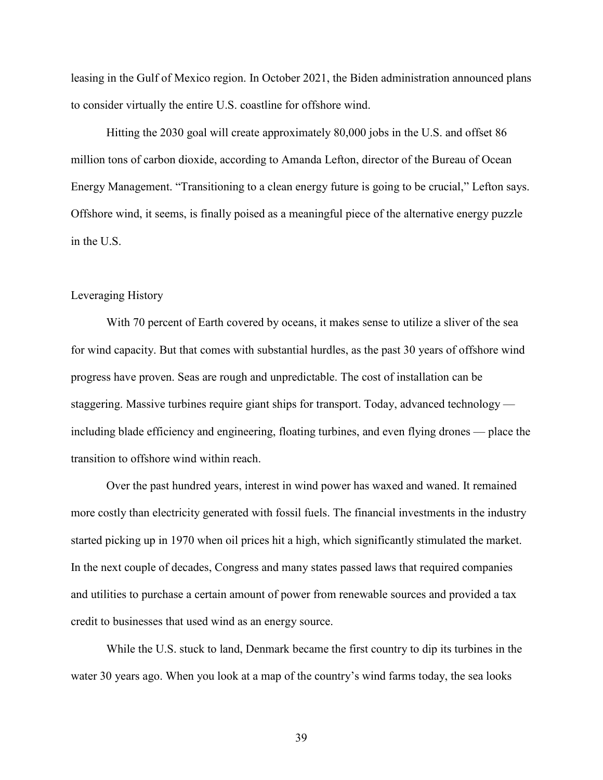leasing in the Gulf of Mexico region. In October 2021, the Biden administration announced plans to consider virtually the entire U.S. coastline for offshore wind.

Hitting the 2030 goal will create approximately 80,000 jobs in the U.S. and offset 86 million tons of carbon dioxide, according to Amanda Lefton, director of the Bureau of Ocean Energy Management. "Transitioning to a clean energy future is going to be crucial," Lefton says. Offshore wind, it seems, is finally poised as a meaningful piece of the alternative energy puzzle in the U.S.

## Leveraging History

With 70 percent of Earth covered by oceans, it makes sense to utilize a sliver of the sea for wind capacity. But that comes with substantial hurdles, as the past 30 years of offshore wind progress have proven. Seas are rough and unpredictable. The cost of installation can be staggering. Massive turbines require giant ships for transport. Today, advanced technology including blade efficiency and engineering, floating turbines, and even flying drones — place the transition to offshore wind within reach.

Over the past hundred years, interest in wind power has waxed and waned. It remained more costly than electricity generated with fossil fuels. The financial investments in the industry started picking up in 1970 when oil prices hit a high, which significantly stimulated the market. In the next couple of decades, Congress and many states passed laws that required companies and utilities to purchase a certain amount of power from renewable sources and provided a tax credit to businesses that used wind as an energy source.

While the U.S. stuck to land, Denmark became the first country to dip its turbines in the water 30 years ago. When you look at a map of the country's wind farms today, the sea looks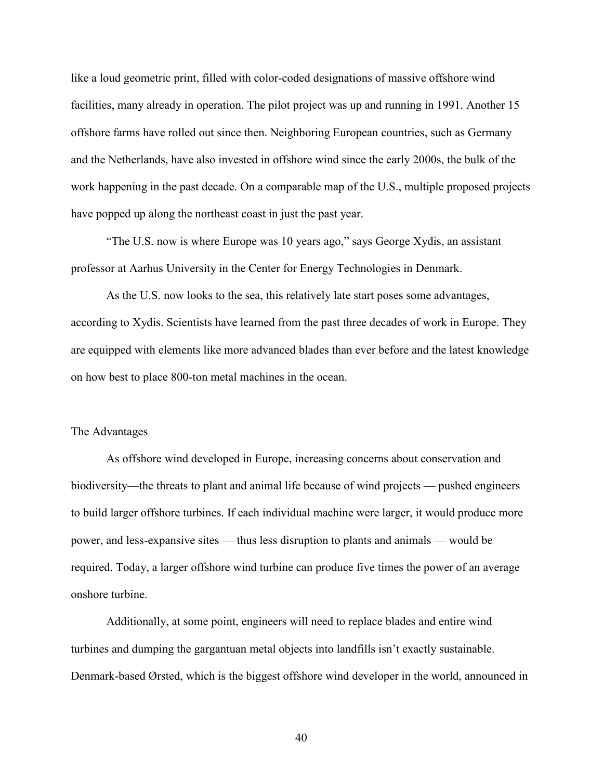like a loud geometric print, filled with color-coded designations of massive offshore wind facilities, many already in operation. The pilot project was up and running in 1991. Another 15 offshore farms have rolled out since then. Neighboring European countries, such as Germany and the Netherlands, have also invested in offshore wind since the early 2000s, the bulk of the work happening in the past decade. On a comparable map of the U.S., multiple proposed projects have popped up along the northeast coast in just the past year.

"The U.S. now is where Europe was 10 years ago," says George Xydis, an assistant professor at Aarhus University in the Center for Energy Technologies in Denmark.

As the U.S. now looks to the sea, this relatively late start poses some advantages, according to Xydis. Scientists have learned from the past three decades of work in Europe. They are equipped with elements like more advanced blades than ever before and the latest knowledge on how best to place 800-ton metal machines in the ocean.

#### The Advantages

As offshore wind developed in Europe, increasing concerns about conservation and biodiversity—the threats to plant and animal life because of wind projects — pushed engineers to build larger offshore turbines. If each individual machine were larger, it would produce more power, and less-expansive sites — thus less disruption to plants and animals — would be required. Today, a larger offshore wind turbine can produce five times the power of an average onshore turbine.

Additionally, at some point, engineers will need to replace blades and entire wind turbines and dumping the gargantuan metal objects into landfills isn't exactly sustainable. Denmark-based Ørsted, which is the biggest offshore wind developer in the world, announced in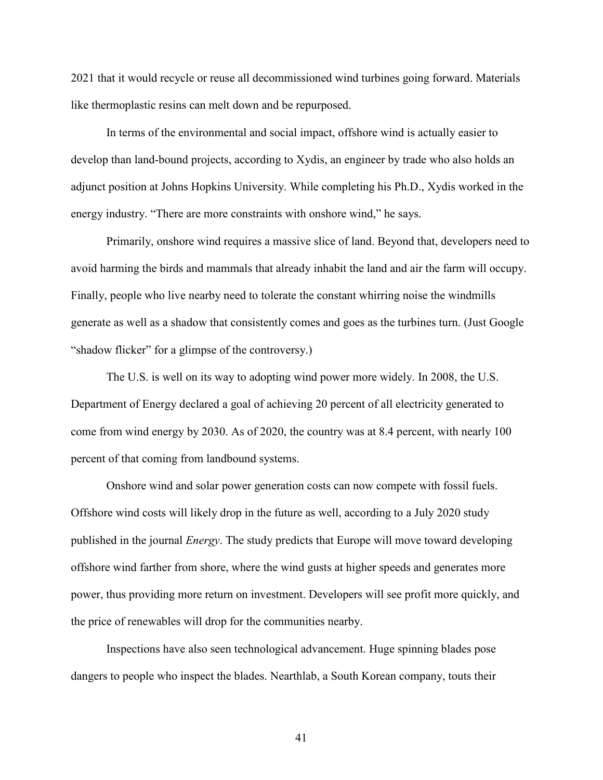2021 that it would recycle or reuse all decommissioned wind turbines going forward. Materials like thermoplastic resins can melt down and be repurposed.

In terms of the environmental and social impact, offshore wind is actually easier to develop than land-bound projects, according to Xydis, an engineer by trade who also holds an adjunct position at Johns Hopkins University. While completing his Ph.D., Xydis worked in the energy industry. "There are more constraints with onshore wind," he says.

Primarily, onshore wind requires a massive slice of land. Beyond that, developers need to avoid harming the birds and mammals that already inhabit the land and air the farm will occupy. Finally, people who live nearby need to tolerate the constant whirring noise the windmills generate as well as a shadow that consistently comes and goes as the turbines turn. (Just Google "shadow flicker" for a glimpse of the controversy.)

The U.S. is well on its way to adopting wind power more widely. In 2008, the U.S. Department of Energy declared a goal of achieving 20 percent of all electricity generated to come from wind energy by 2030. As of 2020, the country was at 8.4 percent, with nearly 100 percent of that coming from landbound systems.

Onshore wind and solar power generation costs can now compete with fossil fuels. Offshore wind costs will likely drop in the future as well, according to a July 2020 study published in the journal *Energy*. The study predicts that Europe will move toward developing offshore wind farther from shore, where the wind gusts at higher speeds and generates more power, thus providing more return on investment. Developers will see profit more quickly, and the price of renewables will drop for the communities nearby.

Inspections have also seen technological advancement. Huge spinning blades pose dangers to people who inspect the blades. Nearthlab, a South Korean company, touts their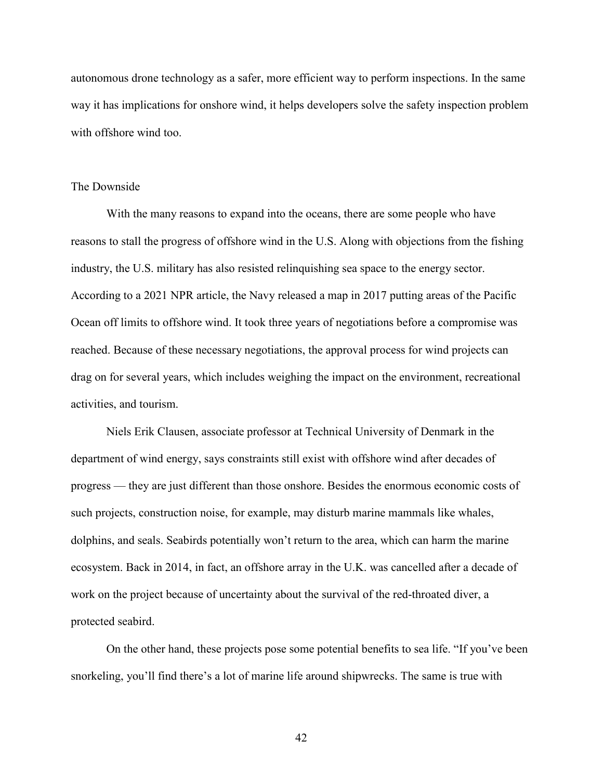autonomous drone technology as a safer, more efficient way to perform inspections. In the same way it has implications for onshore wind, it helps developers solve the safety inspection problem with offshore wind too.

#### The Downside

With the many reasons to expand into the oceans, there are some people who have reasons to stall the progress of offshore wind in the U.S. Along with objections from the fishing industry, the U.S. military has also resisted relinquishing sea space to the energy sector. According to a 2021 NPR article, the Navy released a map in 2017 putting areas of the Pacific Ocean off limits to offshore wind. It took three years of negotiations before a compromise was reached. Because of these necessary negotiations, the approval process for wind projects can drag on for several years, which includes weighing the impact on the environment, recreational activities, and tourism.

Niels Erik Clausen, associate professor at Technical University of Denmark in the department of wind energy, says constraints still exist with offshore wind after decades of progress — they are just different than those onshore. Besides the enormous economic costs of such projects, construction noise, for example, may disturb marine mammals like whales, dolphins, and seals. Seabirds potentially won't return to the area, which can harm the marine ecosystem. Back in 2014, in fact, an offshore array in the U.K. was cancelled after a decade of work on the project because of uncertainty about the survival of the red-throated diver, a protected seabird.

On the other hand, these projects pose some potential benefits to sea life. "If you've been snorkeling, you'll find there's a lot of marine life around shipwrecks. The same is true with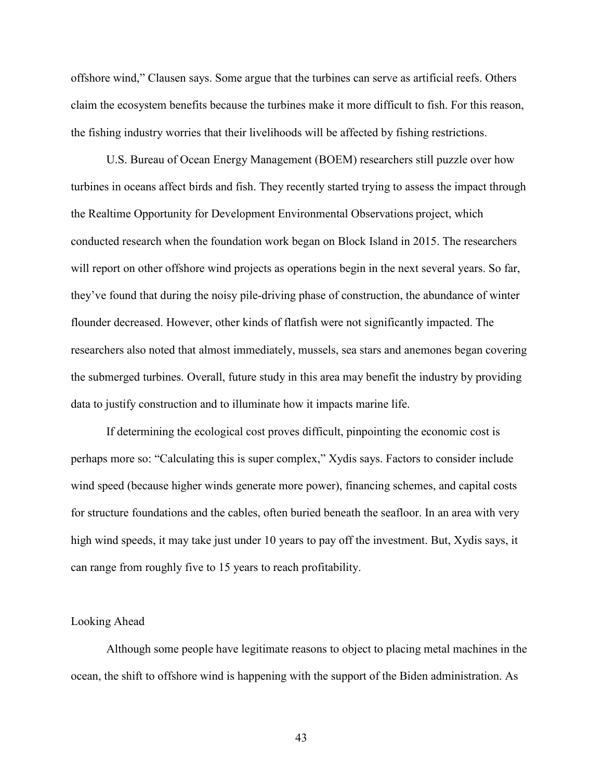offshore wind," Clausen says. Some argue that the turbines can serve as artificial reefs. Others claim the ecosystem benefits because the turbines make it more difficult to fish. For this reason, the fishing industry worries that their livelihoods will be affected by fishing restrictions.

U.S. Bureau of Ocean Energy Management (BOEM) researchers still puzzle over how turbines in oceans affect birds and fish. They recently started trying to assess the impact through the Realtime Opportunity for Development Environmental Observations project, which conducted research when the foundation work began on Block Island in 2015. The researchers will report on other offshore wind projects as operations begin in the next several years. So far, they've found that during the noisy pile-driving phase of construction, the abundance of winter flounder decreased. However, other kinds of flatfish were not significantly impacted. The researchers also noted that almost immediately, mussels, sea stars and anemones began covering the submerged turbines. Overall, future study in this area may benefit the industry by providing data to justify construction and to illuminate how it impacts marine life.

If determining the ecological cost proves difficult, pinpointing the economic cost is perhaps more so: "Calculating this is super complex," Xydis says. Factors to consider include wind speed (because higher winds generate more power), financing schemes, and capital costs for structure foundations and the cables, often buried beneath the seafloor. In an area with very high wind speeds, it may take just under 10 years to pay off the investment. But, Xydis says, it can range from roughly five to 15 years to reach profitability.

#### Looking Ahead

Although some people have legitimate reasons to object to placing metal machines in the ocean, the shift to offshore wind is happening with the support of the Biden administration. As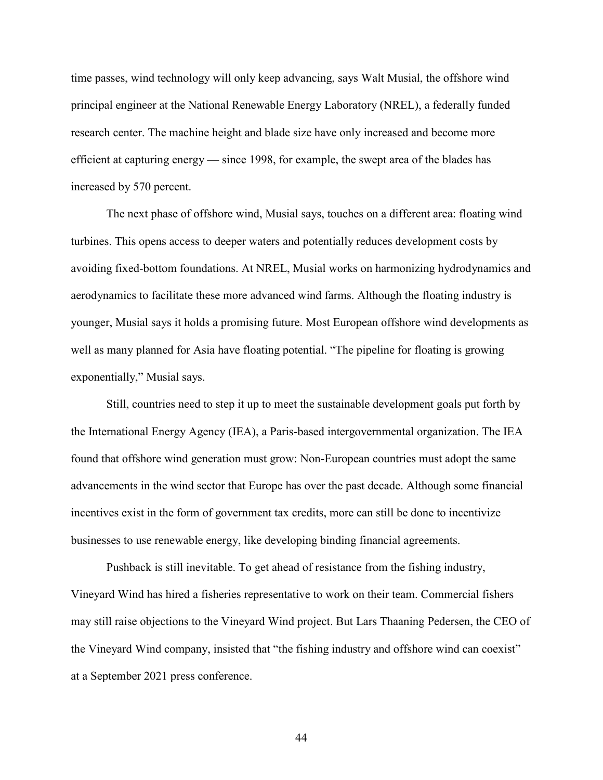time passes, wind technology will only keep advancing, says Walt Musial, the offshore wind principal engineer at the National Renewable Energy Laboratory (NREL), a federally funded research center. The machine height and blade size have only increased and become more efficient at capturing energy — since 1998, for example, the swept area of the blades has increased by 570 percent.

The next phase of offshore wind, Musial says, touches on a different area: floating wind turbines. This opens access to deeper waters and potentially reduces development costs by avoiding fixed-bottom foundations. At NREL, Musial works on harmonizing hydrodynamics and aerodynamics to facilitate these more advanced wind farms. Although the floating industry is younger, Musial says it holds a promising future. Most European offshore wind developments as well as many planned for Asia have floating potential. "The pipeline for floating is growing exponentially," Musial says.

Still, countries need to step it up to meet the sustainable development goals put forth by the International Energy Agency (IEA), a Paris-based intergovernmental organization. The IEA found that offshore wind generation must grow: Non-European countries must adopt the same advancements in the wind sector that Europe has over the past decade. Although some financial incentives exist in the form of government tax credits, more can still be done to incentivize businesses to use renewable energy, like developing binding financial agreements.

Pushback is still inevitable. To get ahead of resistance from the fishing industry, Vineyard Wind has hired a fisheries representative to work on their team. Commercial fishers may still raise objections to the Vineyard Wind project. But Lars Thaaning Pedersen, the CEO of the Vineyard Wind company, insisted that "the fishing industry and offshore wind can coexist" at a September 2021 press conference.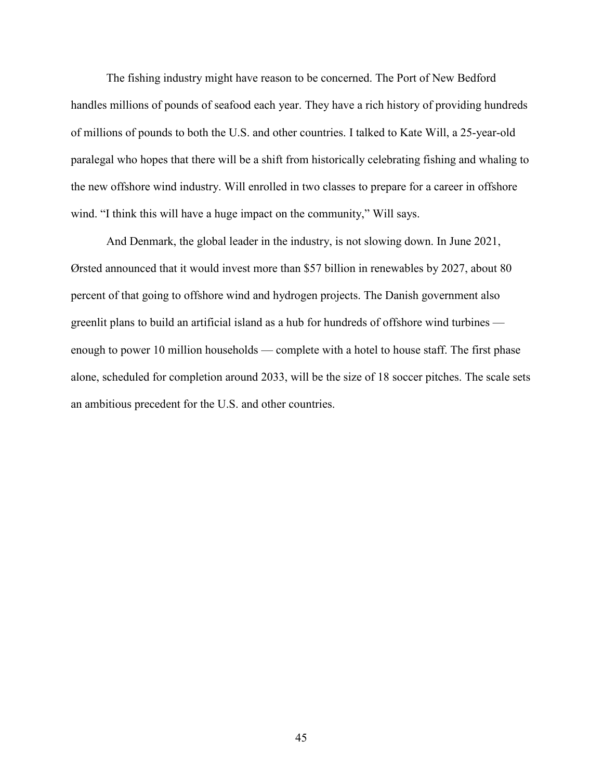The fishing industry might have reason to be concerned. The Port of New Bedford handles millions of pounds of seafood each year. They have a rich history of providing hundreds of millions of pounds to both the U.S. and other countries. I talked to Kate Will, a 25-year-old paralegal who hopes that there will be a shift from historically celebrating fishing and whaling to the new offshore wind industry. Will enrolled in two classes to prepare for a career in offshore wind. "I think this will have a huge impact on the community," Will says.

And Denmark, the global leader in the industry, is not slowing down. In June 2021, Ørsted announced that it would invest more than \$57 billion in renewables by 2027, about 80 percent of that going to offshore wind and hydrogen projects. The Danish government also greenlit plans to build an artificial island as a hub for hundreds of offshore wind turbines enough to power 10 million households — complete with a hotel to house staff. The first phase alone, scheduled for completion around 2033, will be the size of 18 soccer pitches. The scale sets an ambitious precedent for the U.S. and other countries.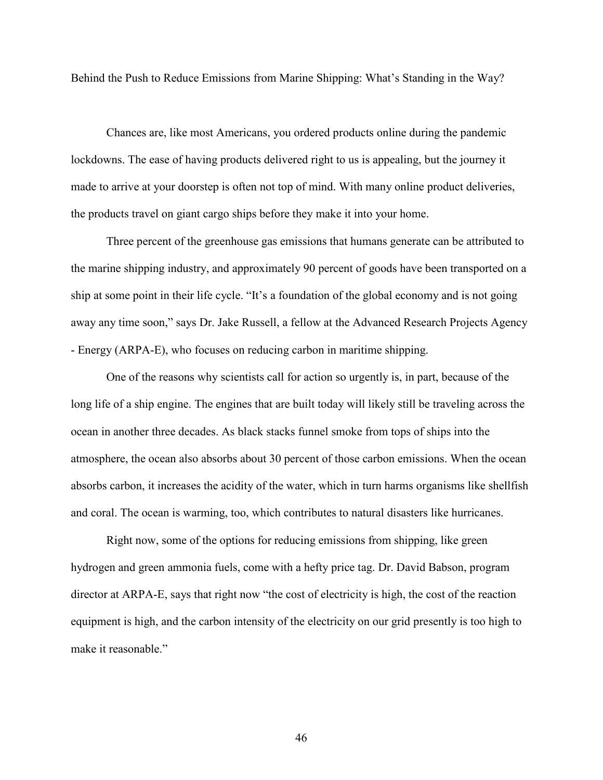<span id="page-48-0"></span>Behind the Push to Reduce Emissions from Marine Shipping: What's Standing in the Way?

Chances are, like most Americans, you ordered products online during the pandemic lockdowns. The ease of having products delivered right to us is appealing, but the journey it made to arrive at your doorstep is often not top of mind. With many online product deliveries, the products travel on giant cargo ships before they make it into your home.

Three percent of the greenhouse gas emissions that humans generate can be attributed to the marine shipping industry, and approximately 90 percent of goods have been transported on a ship at some point in their life cycle. "It's a foundation of the global economy and is not going away any time soon," says Dr. Jake Russell, a fellow at the Advanced Research Projects Agency - Energy (ARPA-E), who focuses on reducing carbon in maritime shipping.

One of the reasons why scientists call for action so urgently is, in part, because of the long life of a ship engine. The engines that are built today will likely still be traveling across the ocean in another three decades. As black stacks funnel smoke from tops of ships into the atmosphere, the ocean also absorbs about 30 percent of those carbon emissions. When the ocean absorbs carbon, it increases the acidity of the water, which in turn harms organisms like shellfish and coral. The ocean is warming, too, which contributes to natural disasters like hurricanes.

Right now, some of the options for reducing emissions from shipping, like green hydrogen and green ammonia fuels, come with a hefty price tag. Dr. David Babson, program director at ARPA-E, says that right now "the cost of electricity is high, the cost of the reaction equipment is high, and the carbon intensity of the electricity on our grid presently is too high to make it reasonable."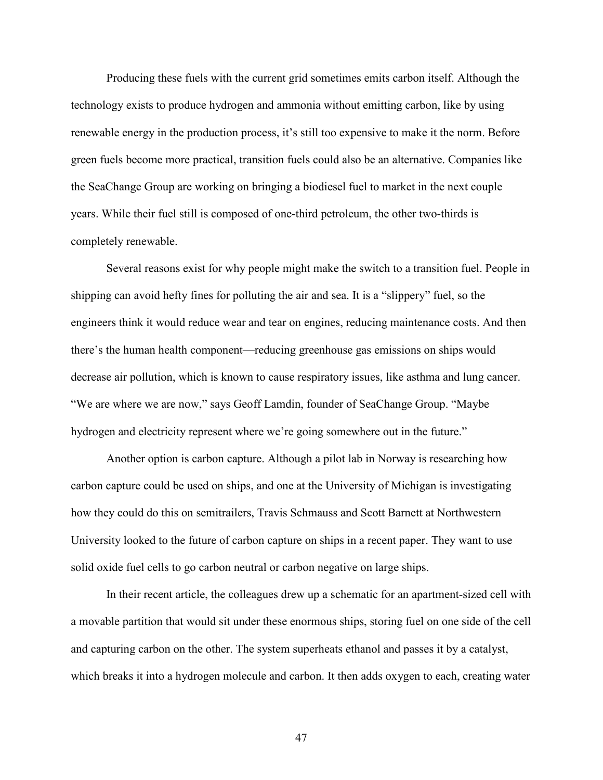Producing these fuels with the current grid sometimes emits carbon itself. Although the technology exists to produce hydrogen and ammonia without emitting carbon, like by using renewable energy in the production process, it's still too expensive to make it the norm. Before green fuels become more practical, transition fuels could also be an alternative. Companies like the SeaChange Group are working on bringing a biodiesel fuel to market in the next couple years. While their fuel still is composed of one-third petroleum, the other two-thirds is completely renewable.

Several reasons exist for why people might make the switch to a transition fuel. People in shipping can avoid hefty fines for polluting the air and sea. It is a "slippery" fuel, so the engineers think it would reduce wear and tear on engines, reducing maintenance costs. And then there's the human health component—reducing greenhouse gas emissions on ships would decrease air pollution, which is known to cause respiratory issues, like asthma and lung cancer. "We are where we are now," says Geoff Lamdin, founder of SeaChange Group. "Maybe hydrogen and electricity represent where we're going somewhere out in the future."

Another option is carbon capture. Although a pilot lab in Norway is researching how carbon capture could be used on ships, and one at the University of Michigan is investigating how they could do this on semitrailers, Travis Schmauss and Scott Barnett at Northwestern University looked to the future of carbon capture on ships in a recent paper. They want to use solid oxide fuel cells to go carbon neutral or carbon negative on large ships.

In their recent article, the colleagues drew up a schematic for an apartment-sized cell with a movable partition that would sit under these enormous ships, storing fuel on one side of the cell and capturing carbon on the other. The system superheats ethanol and passes it by a catalyst, which breaks it into a hydrogen molecule and carbon. It then adds oxygen to each, creating water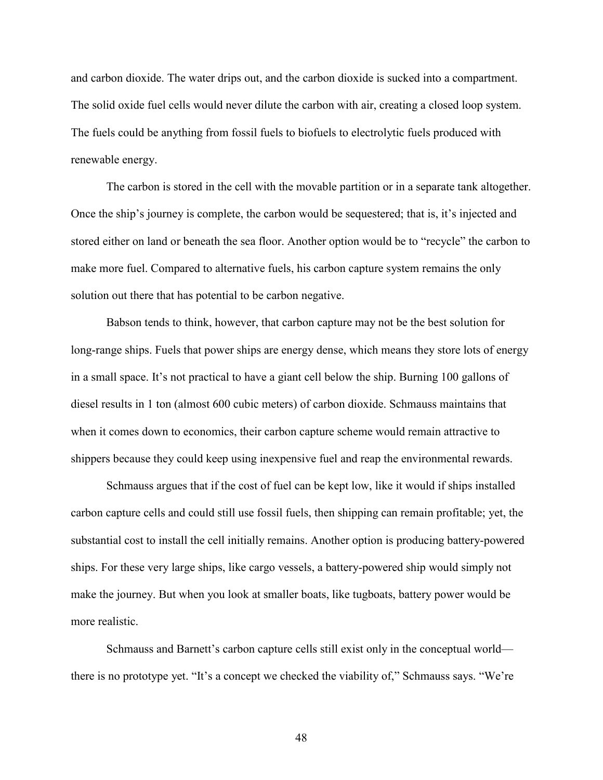and carbon dioxide. The water drips out, and the carbon dioxide is sucked into a compartment. The solid oxide fuel cells would never dilute the carbon with air, creating a closed loop system. The fuels could be anything from fossil fuels to biofuels to electrolytic fuels produced with renewable energy.

The carbon is stored in the cell with the movable partition or in a separate tank altogether. Once the ship's journey is complete, the carbon would be sequestered; that is, it's injected and stored either on land or beneath the sea floor. Another option would be to "recycle" the carbon to make more fuel. Compared to alternative fuels, his carbon capture system remains the only solution out there that has potential to be carbon negative.

Babson tends to think, however, that carbon capture may not be the best solution for long-range ships. Fuels that power ships are energy dense, which means they store lots of energy in a small space. It's not practical to have a giant cell below the ship. Burning 100 gallons of diesel results in 1 ton (almost 600 cubic meters) of carbon dioxide. Schmauss maintains that when it comes down to economics, their carbon capture scheme would remain attractive to shippers because they could keep using inexpensive fuel and reap the environmental rewards.

Schmauss argues that if the cost of fuel can be kept low, like it would if ships installed carbon capture cells and could still use fossil fuels, then shipping can remain profitable; yet, the substantial cost to install the cell initially remains. Another option is producing battery-powered ships. For these very large ships, like cargo vessels, a battery-powered ship would simply not make the journey. But when you look at smaller boats, like tugboats, battery power would be more realistic.

Schmauss and Barnett's carbon capture cells still exist only in the conceptual world there is no prototype yet. "It's a concept we checked the viability of," Schmauss says. "We're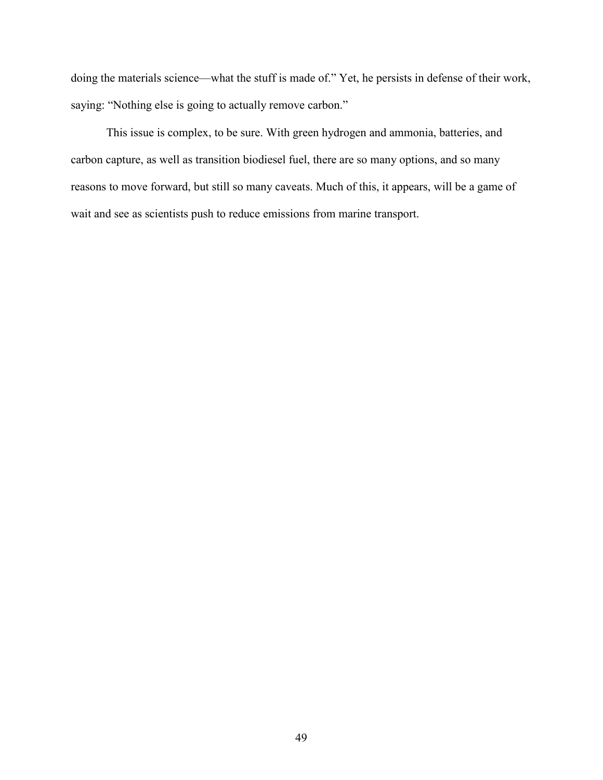doing the materials science—what the stuff is made of." Yet, he persists in defense of their work, saying: "Nothing else is going to actually remove carbon."

This issue is complex, to be sure. With green hydrogen and ammonia, batteries, and carbon capture, as well as transition biodiesel fuel, there are so many options, and so many reasons to move forward, but still so many caveats. Much of this, it appears, will be a game of wait and see as scientists push to reduce emissions from marine transport.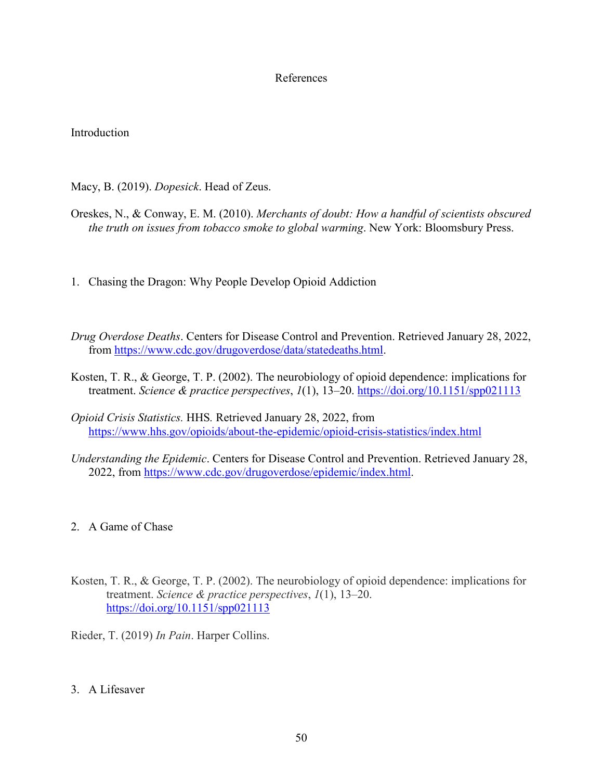## References

# <span id="page-52-0"></span>Introduction

Macy, B. (2019). *Dopesick*. Head of Zeus.

- Oreskes, N., & Conway, E. M. (2010). *Merchants of doubt: How a handful of scientists obscured the truth on issues from tobacco smoke to global warming*. New York: Bloomsbury Press.
- 1. Chasing the Dragon: Why People Develop Opioid Addiction
- *Drug Overdose Deaths*. Centers for Disease Control and Prevention. Retrieved January 28, 2022, from [https://www.cdc.gov/drugoverdose/data/statedeaths.html.](https://www.cdc.gov/drugoverdose/data/statedeaths.html)
- Kosten, T. R., & George, T. P. (2002). The neurobiology of opioid dependence: implications for treatment. *Science & practice perspectives*, *1*(1), 13–20.<https://doi.org/10.1151/spp021113>
- *Opioid Crisis Statistics.* HHS*.* Retrieved January 28, 2022, from <https://www.hhs.gov/opioids/about-the-epidemic/opioid-crisis-statistics/index.html>
- *Understanding the Epidemic*. Centers for Disease Control and Prevention. Retrieved January 28, 2022, from [https://www.cdc.gov/drugoverdose/epidemic/index.html.](https://www.cdc.gov/drugoverdose/epidemic/index.html)
- 2. A Game of Chase
- Kosten, T. R., & George, T. P. (2002). The neurobiology of opioid dependence: implications for treatment. *Science & practice perspectives*, *1*(1), 13–20. <https://doi.org/10.1151/spp021113>

Rieder, T. (2019) *In Pain*. Harper Collins.

3. A Lifesaver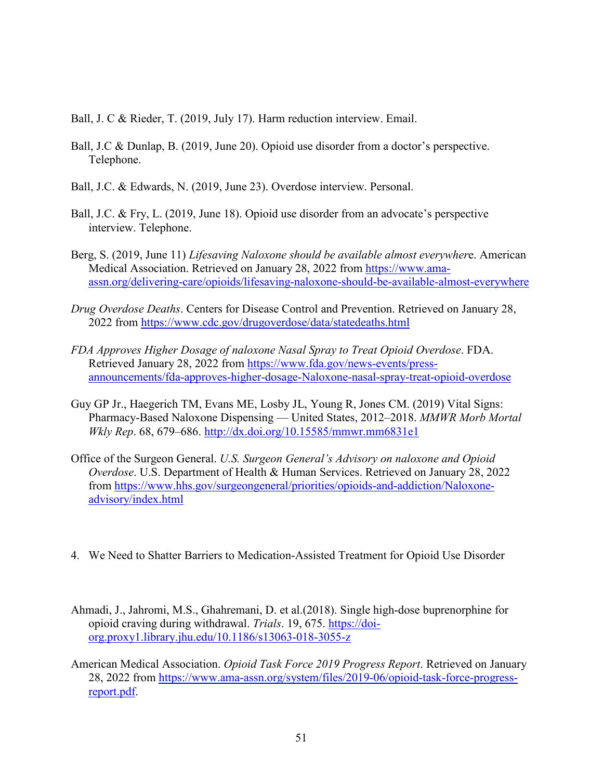Ball, J. C & Rieder, T. (2019, July 17). Harm reduction interview. Email.

- Ball, J.C & Dunlap, B. (2019, June 20). Opioid use disorder from a doctor's perspective. Telephone.
- Ball, J.C. & Edwards, N. (2019, June 23). Overdose interview. Personal.
- Ball, J.C. & Fry, L. (2019, June 18). Opioid use disorder from an advocate's perspective interview. Telephone.
- Berg, S. (2019, June 11) *Lifesaving Naloxone should be available almost everywher*e. American Medical Association. Retrieved on January 28, 2022 from [https://www.ama](https://www.ama-assn.org/delivering-care/opioids/lifesaving-naloxone-should-be-available-almost-everywhere)[assn.org/delivering-care/opioids/lifesaving-naloxone-should-be-available-almost-everywhere](https://www.ama-assn.org/delivering-care/opioids/lifesaving-naloxone-should-be-available-almost-everywhere)
- *Drug Overdose Deaths*. Centers for Disease Control and Prevention. Retrieved on January 28, 2022 from<https://www.cdc.gov/drugoverdose/data/statedeaths.html>
- *FDA Approves Higher Dosage of naloxone Nasal Spray to Treat Opioid Overdose*. FDA. Retrieved January 28, 2022 from [https://www.fda.gov/news-events/press](https://www.fda.gov/news-events/press-announcements/fda-approves-higher-dosage-Naloxone-nasal-spray-treat-opioid-overdose)[announcements/fda-approves-higher-dosage-Naloxone-nasal-spray-treat-opioid-overdose](https://www.fda.gov/news-events/press-announcements/fda-approves-higher-dosage-Naloxone-nasal-spray-treat-opioid-overdose)
- Guy GP Jr., Haegerich TM, Evans ME, Losby JL, Young R, Jones CM. (2019) Vital Signs: Pharmacy-Based Naloxone Dispensing — United States, 2012–2018. *MMWR Morb Mortal Wkly Rep*. 68, 679–686.<http://dx.doi.org/10.15585/mmwr.mm6831e1>
- Office of the Surgeon General. *U.S. Surgeon General's Advisory on naloxone and Opioid Overdose*. U.S. Department of Health & Human Services. Retrieved on January 28, 2022 from [https://www.hhs.gov/surgeongeneral/priorities/opioids-and-addiction/Naloxone](https://www.hhs.gov/surgeongeneral/priorities/opioids-and-addiction/Naloxone-advisory/index.html)[advisory/index.html](https://www.hhs.gov/surgeongeneral/priorities/opioids-and-addiction/Naloxone-advisory/index.html)
- 4. We Need to Shatter Barriers to Medication-Assisted Treatment for Opioid Use Disorder
- Ahmadi, J., Jahromi, M.S., Ghahremani, D. et al.(2018). Single high-dose buprenorphine for opioid craving during withdrawal. *Trials*. 19, 675. [https://doi](https://doi-org.proxy1.library.jhu.edu/10.1186/s13063-018-3055-z)[org.proxy1.library.jhu.edu/10.1186/s13063-018-3055-z](https://doi-org.proxy1.library.jhu.edu/10.1186/s13063-018-3055-z)
- American Medical Association. *Opioid Task Force 2019 Progress Report*. Retrieved on January 28, 2022 from [https://www.ama-assn.org/system/files/2019-06/opioid-task-force-progress](https://www.ama-assn.org/system/files/2019-06/opioid-task-force-progress-report.pdf)[report.pdf.](https://www.ama-assn.org/system/files/2019-06/opioid-task-force-progress-report.pdf)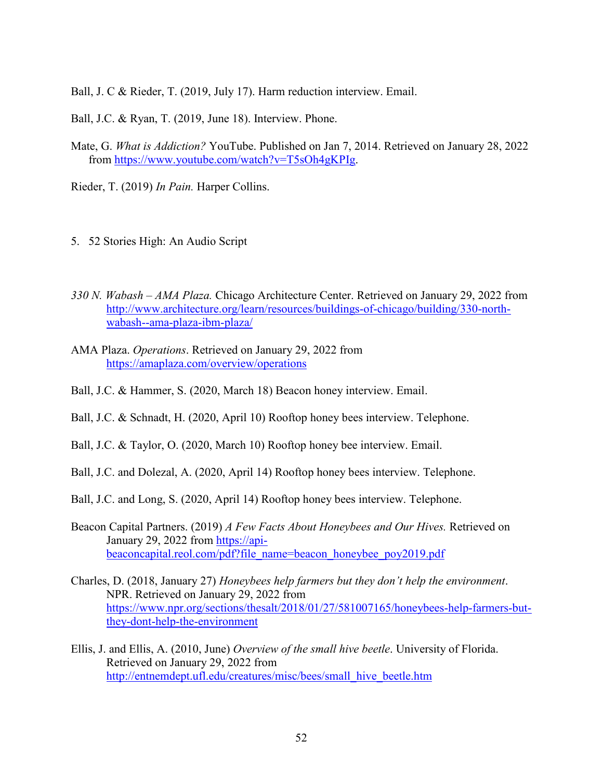Ball, J. C & Rieder, T. (2019, July 17). Harm reduction interview. Email.

Ball, J.C. & Ryan, T. (2019, June 18). Interview. Phone.

Mate, G. *What is Addiction?* YouTube. Published on Jan 7, 2014. Retrieved on January 28, 2022 from [https://www.youtube.com/watch?v=T5sOh4gKPIg.](https://www.youtube.com/watch?v=T5sOh4gKPIg)

Rieder, T. (2019) *In Pain.* Harper Collins.

- 5. 52 Stories High: An Audio Script
- *330 N. Wabash AMA Plaza.* Chicago Architecture Center. Retrieved on January 29, 2022 from [http://www.architecture.org/learn/resources/buildings-of-chicago/building/330-north](http://www.architecture.org/learn/resources/buildings-of-chicago/building/330-north-wabash--ama-plaza-ibm-plaza/)[wabash--ama-plaza-ibm-plaza/](http://www.architecture.org/learn/resources/buildings-of-chicago/building/330-north-wabash--ama-plaza-ibm-plaza/)
- AMA Plaza. *Operations*. Retrieved on January 29, 2022 from <https://amaplaza.com/overview/operations>
- Ball, J.C. & Hammer, S. (2020, March 18) Beacon honey interview. Email.
- Ball, J.C. & Schnadt, H. (2020, April 10) Rooftop honey bees interview. Telephone.
- Ball, J.C. & Taylor, O. (2020, March 10) Rooftop honey bee interview. Email.
- Ball, J.C. and Dolezal, A. (2020, April 14) Rooftop honey bees interview. Telephone.
- Ball, J.C. and Long, S. (2020, April 14) Rooftop honey bees interview. Telephone.
- Beacon Capital Partners. (2019) *A Few Facts About Honeybees and Our Hives.* Retrieved on January 29, 2022 from [https://api](https://api-beaconcapital.reol.com/pdf?file_name=beacon_honeybee_poy2019.pdf)[beaconcapital.reol.com/pdf?file\\_name=beacon\\_honeybee\\_poy2019.pdf](https://api-beaconcapital.reol.com/pdf?file_name=beacon_honeybee_poy2019.pdf)
- Charles, D. (2018, January 27) *Honeybees help farmers but they don't help the environment*. NPR. Retrieved on January 29, 2022 from [https://www.npr.org/sections/thesalt/2018/01/27/581007165/honeybees-help-farmers-but](https://www.npr.org/sections/thesalt/2018/01/27/581007165/honeybees-help-farmers-but-they-dont-help-the-environment)[they-dont-help-the-environment](https://www.npr.org/sections/thesalt/2018/01/27/581007165/honeybees-help-farmers-but-they-dont-help-the-environment)
- Ellis, J. and Ellis, A. (2010, June) *Overview of the small hive beetle*. University of Florida. Retrieved on January 29, 2022 from [http://entnemdept.ufl.edu/creatures/misc/bees/small\\_hive\\_beetle.htm](http://entnemdept.ufl.edu/creatures/misc/bees/small_hive_beetle.htm)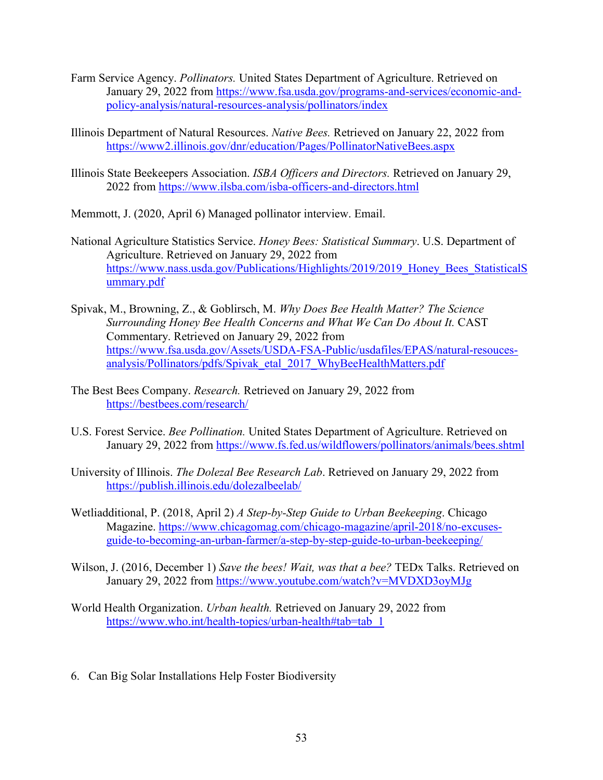- Farm Service Agency. *Pollinators.* United States Department of Agriculture. Retrieved on January 29, 2022 from [https://www.fsa.usda.gov/programs-and-services/economic-and](https://www.fsa.usda.gov/programs-and-services/economic-and-policy-analysis/natural-resources-analysis/pollinators/index)[policy-analysis/natural-resources-analysis/pollinators/index](https://www.fsa.usda.gov/programs-and-services/economic-and-policy-analysis/natural-resources-analysis/pollinators/index)
- Illinois Department of Natural Resources. *Native Bees.* Retrieved on January 22, 2022 from <https://www2.illinois.gov/dnr/education/Pages/PollinatorNativeBees.aspx>
- Illinois State Beekeepers Association. *ISBA Officers and Directors.* Retrieved on January 29, 2022 from<https://www.ilsba.com/isba-officers-and-directors.html>
- Memmott, J. (2020, April 6) Managed pollinator interview. Email.
- National Agriculture Statistics Service. *Honey Bees: Statistical Summary*. U.S. Department of Agriculture. Retrieved on January 29, 2022 from https://www.nass.usda.gov/Publications/Highlights/2019/2019 Honey Bees StatisticalS [ummary.pdf](https://www.nass.usda.gov/Publications/Highlights/2019/2019_Honey_Bees_StatisticalSummary.pdf)
- Spivak, M., Browning, Z., & Goblirsch, M. *Why Does Bee Health Matter? The Science Surrounding Honey Bee Health Concerns and What We Can Do About It.* CAST Commentary. Retrieved on January 29, 2022 from [https://www.fsa.usda.gov/Assets/USDA-FSA-Public/usdafiles/EPAS/natural-resouces](https://www.fsa.usda.gov/Assets/USDA-FSA-Public/usdafiles/EPAS/natural-resouces-analysis/Pollinators/pdfs/Spivak_etal_2017_WhyBeeHealthMatters.pdf)[analysis/Pollinators/pdfs/Spivak\\_etal\\_2017\\_WhyBeeHealthMatters.pdf](https://www.fsa.usda.gov/Assets/USDA-FSA-Public/usdafiles/EPAS/natural-resouces-analysis/Pollinators/pdfs/Spivak_etal_2017_WhyBeeHealthMatters.pdf)
- The Best Bees Company. *Research.* Retrieved on January 29, 2022 from <https://bestbees.com/research/>
- U.S. Forest Service. *Bee Pollination.* United States Department of Agriculture. Retrieved on January 29, 2022 from<https://www.fs.fed.us/wildflowers/pollinators/animals/bees.shtml>
- University of Illinois. *The Dolezal Bee Research Lab*. Retrieved on January 29, 2022 from <https://publish.illinois.edu/dolezalbeelab/>
- Wetliadditional, P. (2018, April 2) *A Step-by-Step Guide to Urban Beekeeping*. Chicago Magazine. [https://www.chicagomag.com/chicago-magazine/april-2018/no-excuses](https://www.chicagomag.com/chicago-magazine/april-2018/no-excuses-guide-to-becoming-an-urban-farmer/a-step-by-step-guide-to-urban-beekeeping/)[guide-to-becoming-an-urban-farmer/a-step-by-step-guide-to-urban-beekeeping/](https://www.chicagomag.com/chicago-magazine/april-2018/no-excuses-guide-to-becoming-an-urban-farmer/a-step-by-step-guide-to-urban-beekeeping/)
- Wilson, J. (2016, December 1) *Save the bees! Wait, was that a bee?* TEDx Talks. Retrieved on January 29, 2022 from<https://www.youtube.com/watch?v=MVDXD3oyMJg>
- World Health Organization. *Urban health.* Retrieved on January 29, 2022 from [https://www.who.int/health-topics/urban-health#tab=tab\\_1](https://www.who.int/health-topics/urban-health#tab=tab_1)
- 6. Can Big Solar Installations Help Foster Biodiversity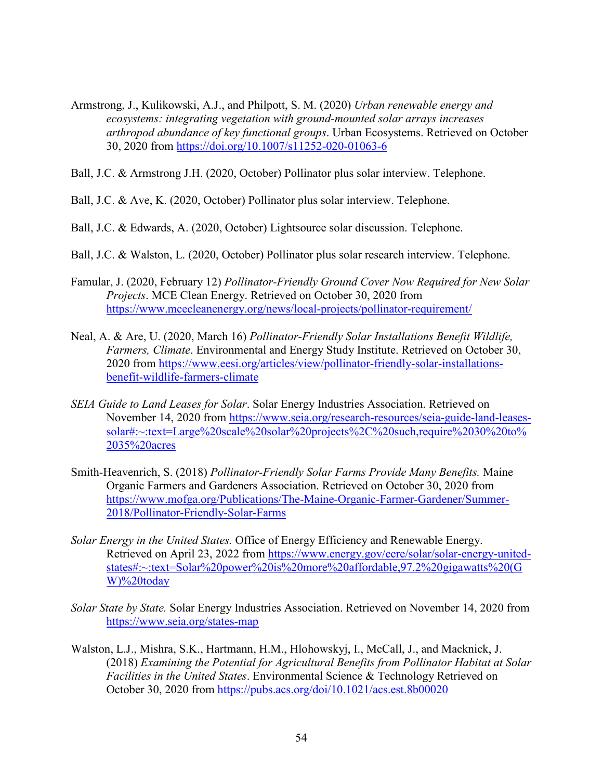- Armstrong, J., Kulikowski, A.J., and Philpott, S. M. (2020) *Urban renewable energy and ecosystems: integrating vegetation with ground-mounted solar arrays increases arthropod abundance of key functional groups*. Urban Ecosystems. Retrieved on October 30, 2020 from<https://doi.org/10.1007/s11252-020-01063-6>
- Ball, J.C. & Armstrong J.H. (2020, October) Pollinator plus solar interview. Telephone.
- Ball, J.C. & Ave, K. (2020, October) Pollinator plus solar interview. Telephone.
- Ball, J.C. & Edwards, A. (2020, October) Lightsource solar discussion. Telephone.
- Ball, J.C. & Walston, L. (2020, October) Pollinator plus solar research interview. Telephone.
- Famular, J. (2020, February 12) *Pollinator-Friendly Ground Cover Now Required for New Solar Projects*. MCE Clean Energy. Retrieved on October 30, 2020 from <https://www.mcecleanenergy.org/news/local-projects/pollinator-requirement/>
- Neal, A. & Are, U. (2020, March 16) *Pollinator-Friendly Solar Installations Benefit Wildlife, Farmers, Climate*. Environmental and Energy Study Institute. Retrieved on October 30, 2020 from [https://www.eesi.org/articles/view/pollinator-friendly-solar-installations](https://www.eesi.org/articles/view/pollinator-friendly-solar-installations-benefit-wildlife-farmers-climate)[benefit-wildlife-farmers-climate](https://www.eesi.org/articles/view/pollinator-friendly-solar-installations-benefit-wildlife-farmers-climate)
- *SEIA Guide to Land Leases for Solar*. Solar Energy Industries Association. Retrieved on November 14, 2020 from [https://www.seia.org/research-resources/seia-guide-land-leases](https://www.seia.org/research-resources/seia-guide-land-leases-solar#:%7E:text=Large%20scale%20solar%20projects%2C%20such,require%2030%20to%2035%20acres)[solar#:~:text=Large%20scale%20solar%20projects%2C%20such,require%2030%20to%](https://www.seia.org/research-resources/seia-guide-land-leases-solar#:%7E:text=Large%20scale%20solar%20projects%2C%20such,require%2030%20to%2035%20acres) [2035%20acres](https://www.seia.org/research-resources/seia-guide-land-leases-solar#:%7E:text=Large%20scale%20solar%20projects%2C%20such,require%2030%20to%2035%20acres)
- Smith-Heavenrich, S. (2018) *Pollinator-Friendly Solar Farms Provide Many Benefits.* Maine Organic Farmers and Gardeners Association. Retrieved on October 30, 2020 from [https://www.mofga.org/Publications/The-Maine-Organic-Farmer-Gardener/Summer-](https://www.mofga.org/Publications/The-Maine-Organic-Farmer-Gardener/Summer-2018/Pollinator-Friendly-Solar-Farms)[2018/Pollinator-Friendly-Solar-Farms](https://www.mofga.org/Publications/The-Maine-Organic-Farmer-Gardener/Summer-2018/Pollinator-Friendly-Solar-Farms)
- *Solar Energy in the United States.* Office of Energy Efficiency and Renewable Energy. Retrieved on April 23, 2022 from [https://www.energy.gov/eere/solar/solar-energy-united](https://www.energy.gov/eere/solar/solar-energy-united-states#:%7E:text=Solar%20power%20is%20more%20affordable,97.2%20gigawatts%20(GW)%20today)[states#:~:text=Solar%20power%20is%20more%20affordable,97.2%20gigawatts%20\(G](https://www.energy.gov/eere/solar/solar-energy-united-states#:%7E:text=Solar%20power%20is%20more%20affordable,97.2%20gigawatts%20(GW)%20today) [W\)%20today](https://www.energy.gov/eere/solar/solar-energy-united-states#:%7E:text=Solar%20power%20is%20more%20affordable,97.2%20gigawatts%20(GW)%20today)
- *Solar State by State.* Solar Energy Industries Association. Retrieved on November 14, 2020 from <https://www.seia.org/states-map>
- Walston, L.J., Mishra, S.K., Hartmann, H.M., Hlohowskyj, I., McCall, J., and Macknick, J. (2018) *Examining the Potential for Agricultural Benefits from Pollinator Habitat at Solar Facilities in the United States*. Environmental Science & Technology Retrieved on October 30, 2020 from<https://pubs.acs.org/doi/10.1021/acs.est.8b00020>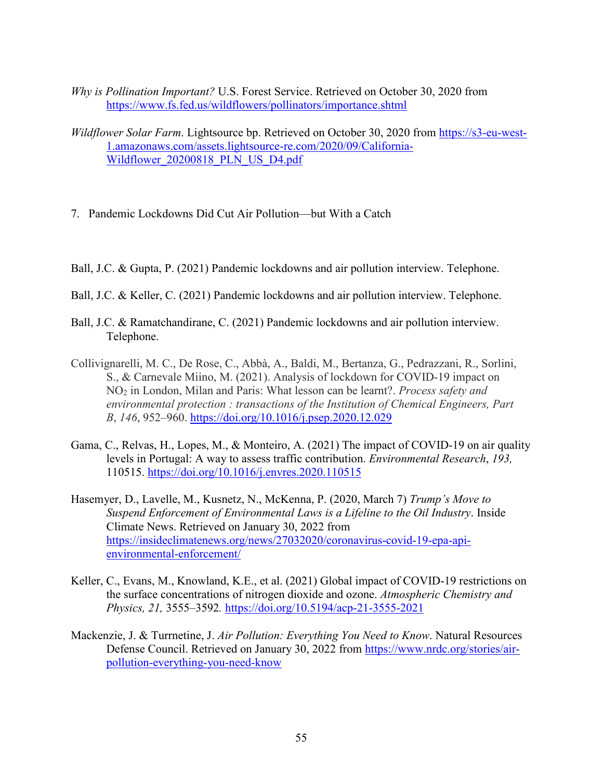- *Why is Pollination Important?* U.S. Forest Service. Retrieved on October 30, 2020 from <https://www.fs.fed.us/wildflowers/pollinators/importance.shtml>
- *Wildflower Solar Farm*. Lightsource bp. Retrieved on October 30, 2020 from [https://s3-eu-west-](https://s3-eu-west-1.amazonaws.com/assets.lightsource-re.com/2020/09/California-Wildflower_20200818_PLN_US_D4.pdf)[1.amazonaws.com/assets.lightsource-re.com/2020/09/California-](https://s3-eu-west-1.amazonaws.com/assets.lightsource-re.com/2020/09/California-Wildflower_20200818_PLN_US_D4.pdf)Wildflower 20200818 PLN US D4.pdf
- 7. Pandemic Lockdowns Did Cut Air Pollution—but With a Catch
- Ball, J.C. & Gupta, P. (2021) Pandemic lockdowns and air pollution interview. Telephone.
- Ball, J.C. & Keller, C. (2021) Pandemic lockdowns and air pollution interview. Telephone.
- Ball, J.C. & Ramatchandirane, C. (2021) Pandemic lockdowns and air pollution interview. Telephone.
- Collivignarelli, M. C., De Rose, C., Abbà, A., Baldi, M., Bertanza, G., Pedrazzani, R., Sorlini, S., & Carnevale Miino, M. (2021). Analysis of lockdown for COVID-19 impact on NO2 in London, Milan and Paris: What lesson can be learnt?. *Process safety and environmental protection : transactions of the Institution of Chemical Engineers, Part B*, *146*, 952–960.<https://doi.org/10.1016/j.psep.2020.12.029>
- Gama, C., Relvas, H., Lopes, M., & Monteiro, A. (2021) The impact of COVID-19 on air quality levels in Portugal: A way to assess traffic contribution. *Environmental Research*, *193,*  110515.<https://doi.org/10.1016/j.envres.2020.110515>
- Hasemyer, D., Lavelle, M., Kusnetz, N., McKenna, P. (2020, March 7) *Trump's Move to Suspend Enforcement of Environmental Laws is a Lifeline to the Oil Industry*. Inside Climate News. Retrieved on January 30, 2022 from [https://insideclimatenews.org/news/27032020/coronavirus-covid-19-epa-api](https://insideclimatenews.org/news/27032020/coronavirus-covid-19-epa-api-environmental-enforcement/)[environmental-enforcement/](https://insideclimatenews.org/news/27032020/coronavirus-covid-19-epa-api-environmental-enforcement/)
- Keller, C., Evans, M., Knowland, K.E., et al. (2021) Global impact of COVID-19 restrictions on the surface concentrations of nitrogen dioxide and ozone. *Atmospheric Chemistry and Physics, 21,* 3555–3592*.* <https://doi.org/10.5194/acp-21-3555-2021>
- Mackenzie, J. & Turrnetine, J. *Air Pollution: Everything You Need to Know*. Natural Resources Defense Council. Retrieved on January 30, 2022 from [https://www.nrdc.org/stories/air](https://www.nrdc.org/stories/air-pollution-everything-you-need-know)[pollution-everything-you-need-know](https://www.nrdc.org/stories/air-pollution-everything-you-need-know)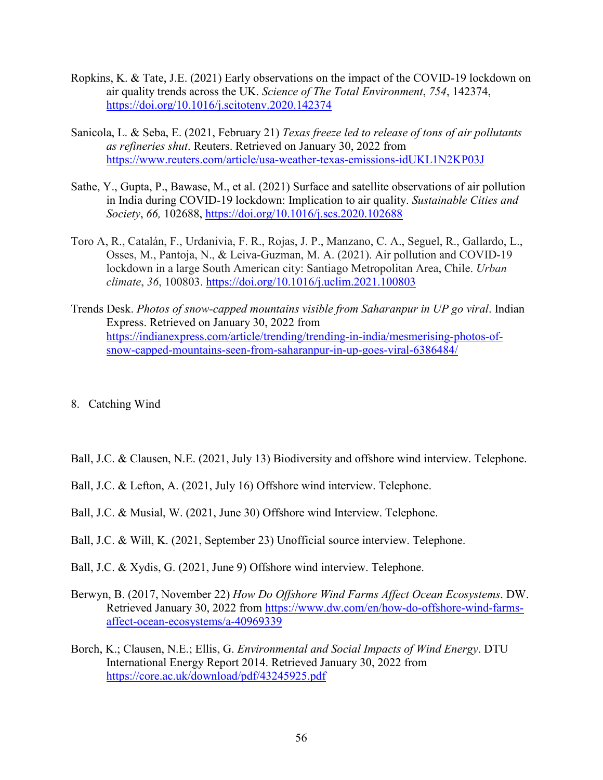- Ropkins, K. & Tate, J.E. (2021) Early observations on the impact of the COVID-19 lockdown on air quality trends across the UK. *Science of The Total Environment*, *754*, 142374, <https://doi.org/10.1016/j.scitotenv.2020.142374>
- Sanicola, L. & Seba, E. (2021, February 21) *Texas freeze led to release of tons of air pollutants as refineries shut*. Reuters. Retrieved on January 30, 2022 from <https://www.reuters.com/article/usa-weather-texas-emissions-idUKL1N2KP03J>
- Sathe, Y., Gupta, P., Bawase, M., et al. (2021) Surface and satellite observations of air pollution in India during COVID-19 lockdown: Implication to air quality. *Sustainable Cities and Society*, *66,* 102688,<https://doi.org/10.1016/j.scs.2020.102688>
- Toro A, R., Catalán, F., Urdanivia, F. R., Rojas, J. P., Manzano, C. A., Seguel, R., Gallardo, L., Osses, M., Pantoja, N., & Leiva-Guzman, M. A. (2021). Air pollution and COVID-19 lockdown in a large South American city: Santiago Metropolitan Area, Chile. *Urban climate*, *36*, 100803.<https://doi.org/10.1016/j.uclim.2021.100803>
- Trends Desk. *Photos of snow-capped mountains visible from Saharanpur in UP go viral*. Indian Express. Retrieved on January 30, 2022 from [https://indianexpress.com/article/trending/trending-in-india/mesmerising-photos-of](https://indianexpress.com/article/trending/trending-in-india/mesmerising-photos-of-snow-capped-mountains-seen-from-saharanpur-in-up-goes-viral-6386484/)[snow-capped-mountains-seen-from-saharanpur-in-up-goes-viral-6386484/](https://indianexpress.com/article/trending/trending-in-india/mesmerising-photos-of-snow-capped-mountains-seen-from-saharanpur-in-up-goes-viral-6386484/)
- 8. Catching Wind
- Ball, J.C. & Clausen, N.E. (2021, July 13) Biodiversity and offshore wind interview. Telephone.
- Ball, J.C. & Lefton, A. (2021, July 16) Offshore wind interview. Telephone.
- Ball, J.C. & Musial, W. (2021, June 30) Offshore wind Interview. Telephone.
- Ball, J.C. & Will, K. (2021, September 23) Unofficial source interview. Telephone.
- Ball, J.C. & Xydis, G. (2021, June 9) Offshore wind interview. Telephone.
- Berwyn, B. (2017, November 22) *How Do Offshore Wind Farms Affect Ocean Ecosystems*. DW. Retrieved January 30, 2022 from [https://www.dw.com/en/how-do-offshore-wind-farms](https://www.dw.com/en/how-do-offshore-wind-farms-affect-ocean-ecosystems/a-40969339)[affect-ocean-ecosystems/a-40969339](https://www.dw.com/en/how-do-offshore-wind-farms-affect-ocean-ecosystems/a-40969339)
- Borch, K.; Clausen, N.E.; Ellis, G. *Environmental and Social Impacts of Wind Energy*. DTU International Energy Report 2014. Retrieved January 30, 2022 from <https://core.ac.uk/download/pdf/43245925.pdf>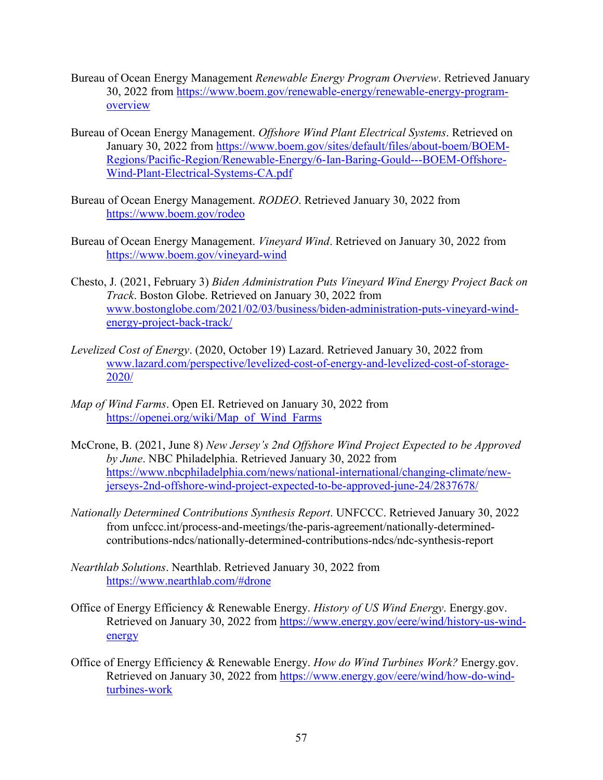- Bureau of Ocean Energy Management *Renewable Energy Program Overview*. Retrieved January 30, 2022 from [https://www.boem.gov/renewable-energy/renewable-energy-program](https://www.boem.gov/renewable-energy/renewable-energy-program-overview)[overview](https://www.boem.gov/renewable-energy/renewable-energy-program-overview)
- Bureau of Ocean Energy Management. *Offshore Wind Plant Electrical Systems*. Retrieved on January 30, 2022 from [https://www.boem.gov/sites/default/files/about-boem/BOEM-](https://www.boem.gov/sites/default/files/about-boem/BOEM-Regions/Pacific-Region/Renewable-Energy/6-Ian-Baring-Gould---BOEM-Offshore-Wind-Plant-Electrical-Systems-CA.pdf)[Regions/Pacific-Region/Renewable-Energy/6-Ian-Baring-Gould---BOEM-Offshore-](https://www.boem.gov/sites/default/files/about-boem/BOEM-Regions/Pacific-Region/Renewable-Energy/6-Ian-Baring-Gould---BOEM-Offshore-Wind-Plant-Electrical-Systems-CA.pdf)[Wind-Plant-Electrical-Systems-CA.pdf](https://www.boem.gov/sites/default/files/about-boem/BOEM-Regions/Pacific-Region/Renewable-Energy/6-Ian-Baring-Gould---BOEM-Offshore-Wind-Plant-Electrical-Systems-CA.pdf)
- Bureau of Ocean Energy Management. *RODEO*. Retrieved January 30, 2022 from <https://www.boem.gov/rodeo>
- Bureau of Ocean Energy Management. *Vineyard Wind*. Retrieved on January 30, 2022 from <https://www.boem.gov/vineyard-wind>
- Chesto, J*.* (2021, February 3) *Biden Administration Puts Vineyard Wind Energy Project Back on Track*. Boston Globe. Retrieved on January 30, 2022 from [www.bostonglobe.com/2021/02/03/business/biden-administration-puts-vineyard-wind](http://www.bostonglobe.com/2021/02/03/business/biden-administration-puts-vineyard-wind-energy-project-back-track/)[energy-project-back-track/](http://www.bostonglobe.com/2021/02/03/business/biden-administration-puts-vineyard-wind-energy-project-back-track/)
- *Levelized Cost of Energy*. (2020, October 19) Lazard. Retrieved January 30, 2022 from [www.lazard.com/perspective/levelized-cost-of-energy-and-levelized-cost-of-storage-](http://www.lazard.com/perspective/levelized-cost-of-energy-and-levelized-cost-of-storage-2020/)[2020/](http://www.lazard.com/perspective/levelized-cost-of-energy-and-levelized-cost-of-storage-2020/)
- *Map of Wind Farms*. Open EI. Retrieved on January 30, 2022 from [https://openei.org/wiki/Map\\_of\\_Wind\\_Farms](https://openei.org/wiki/Map_of_Wind_Farms)
- McCrone, B. (2021, June 8) *New Jersey's 2nd Offshore Wind Project Expected to be Approved by June*. NBC Philadelphia. Retrieved January 30, 2022 from [https://www.nbcphiladelphia.com/news/national-international/changing-climate/new](https://www.nbcphiladelphia.com/news/national-international/changing-climate/new-jerseys-2nd-offshore-wind-project-expected-to-be-approved-june-24/2837678/)[jerseys-2nd-offshore-wind-project-expected-to-be-approved-june-24/2837678/](https://www.nbcphiladelphia.com/news/national-international/changing-climate/new-jerseys-2nd-offshore-wind-project-expected-to-be-approved-june-24/2837678/)
- *Nationally Determined Contributions Synthesis Report*. UNFCCC. Retrieved January 30, 2022 from unfccc.int/process-and-meetings/the-paris-agreement/nationally-determinedcontributions-ndcs/nationally-determined-contributions-ndcs/ndc-synthesis-report
- *Nearthlab Solutions*. Nearthlab. Retrieved January 30, 2022 from <https://www.nearthlab.com/#drone>
- Office of Energy Efficiency & Renewable Energy. *History of US Wind Energy*. Energy.gov. Retrieved on January 30, 2022 from [https://www.energy.gov/eere/wind/history-us-wind](https://www.energy.gov/eere/wind/history-us-wind-energy)[energy](https://www.energy.gov/eere/wind/history-us-wind-energy)
- Office of Energy Efficiency & Renewable Energy. *How do Wind Turbines Work?* Energy.gov. Retrieved on January 30, 2022 from [https://www.energy.gov/eere/wind/how-do-wind](https://www.energy.gov/eere/wind/how-do-wind-turbines-work)[turbines-work](https://www.energy.gov/eere/wind/how-do-wind-turbines-work)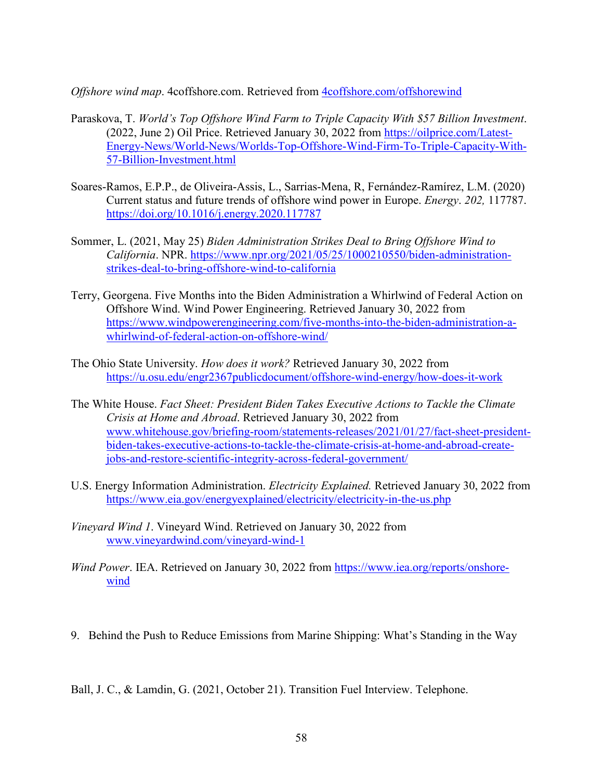*Offshore wind map*. 4coffshore.com. Retrieved from [4coffshore.com/offshorewind](https://d.docs.live.net/03df38cc34eb27ea/Documents/JHU/Thesis/4coffshore.com/offshorewind) 

- Paraskova, T. *World's Top Offshore Wind Farm to Triple Capacity With \$57 Billion Investment*. (2022, June 2) Oil Price. Retrieved January 30, 2022 from [https://oilprice.com/Latest-](https://oilprice.com/Latest-Energy-News/World-News/Worlds-Top-Offshore-Wind-Firm-To-Triple-Capacity-With-57-Billion-Investment.html)[Energy-News/World-News/Worlds-Top-Offshore-Wind-Firm-To-Triple-Capacity-With-](https://oilprice.com/Latest-Energy-News/World-News/Worlds-Top-Offshore-Wind-Firm-To-Triple-Capacity-With-57-Billion-Investment.html)[57-Billion-Investment.html](https://oilprice.com/Latest-Energy-News/World-News/Worlds-Top-Offshore-Wind-Firm-To-Triple-Capacity-With-57-Billion-Investment.html)
- Soares-Ramos, E.P.P., de Oliveira-Assis, L., Sarrias-Mena, R, Fernández-Ramírez, L.M. (2020) Current status and future trends of offshore wind power in Europe. *Energy*. *202,* 117787. <https://doi.org/10.1016/j.energy.2020.117787>
- Sommer, L. (2021, May 25) *Biden Administration Strikes Deal to Bring Offshore Wind to California*. NPR. [https://www.npr.org/2021/05/25/1000210550/biden-administration](https://www.npr.org/2021/05/25/1000210550/biden-administration-strikes-deal-to-bring-offshore-wind-to-california)[strikes-deal-to-bring-offshore-wind-to-california](https://www.npr.org/2021/05/25/1000210550/biden-administration-strikes-deal-to-bring-offshore-wind-to-california)
- Terry, Georgena. Five Months into the Biden Administration a Whirlwind of Federal Action on Offshore Wind. Wind Power Engineering. Retrieved January 30, 2022 from [https://www.windpowerengineering.com/five-months-into-the-biden-administration-a](https://www.windpowerengineering.com/five-months-into-the-biden-administration-a-whirlwind-of-federal-action-on-offshore-wind/)[whirlwind-of-federal-action-on-offshore-wind/](https://www.windpowerengineering.com/five-months-into-the-biden-administration-a-whirlwind-of-federal-action-on-offshore-wind/)
- The Ohio State University. *How does it work?* Retrieved January 30, 2022 from <https://u.osu.edu/engr2367publicdocument/offshore-wind-energy/how-does-it-work>
- The White House. *Fact Sheet: President Biden Takes Executive Actions to Tackle the Climate Crisis at Home and Abroad*. Retrieved January 30, 2022 from [www.whitehouse.gov/briefing-room/statements-releases/2021/01/27/fact-sheet-president](http://www.whitehouse.gov/briefing-room/statements-releases/2021/01/27/fact-sheet-president-biden-takes-executive-actions-to-tackle-the-climate-crisis-at-home-and-abroad-create-jobs-and-restore-scientific-integrity-across-federal-government/)[biden-takes-executive-actions-to-tackle-the-climate-crisis-at-home-and-abroad-create](http://www.whitehouse.gov/briefing-room/statements-releases/2021/01/27/fact-sheet-president-biden-takes-executive-actions-to-tackle-the-climate-crisis-at-home-and-abroad-create-jobs-and-restore-scientific-integrity-across-federal-government/)[jobs-and-restore-scientific-integrity-across-federal-government/](http://www.whitehouse.gov/briefing-room/statements-releases/2021/01/27/fact-sheet-president-biden-takes-executive-actions-to-tackle-the-climate-crisis-at-home-and-abroad-create-jobs-and-restore-scientific-integrity-across-federal-government/)
- U.S. Energy Information Administration. *Electricity Explained.* Retrieved January 30, 2022 from <https://www.eia.gov/energyexplained/electricity/electricity-in-the-us.php>
- *Vineyard Wind 1*. Vineyard Wind. Retrieved on January 30, 2022 from [www.vineyardwind.com/vineyard-wind-1](http://www.vineyardwind.com/vineyard-wind-1)
- *Wind Power*. IEA. Retrieved on January 30, 2022 from [https://www.iea.org/reports/onshore](https://www.iea.org/reports/onshore-wind)[wind](https://www.iea.org/reports/onshore-wind)
- 9. Behind the Push to Reduce Emissions from Marine Shipping: What's Standing in the Way

Ball, J. C., & Lamdin, G. (2021, October 21). Transition Fuel Interview. Telephone.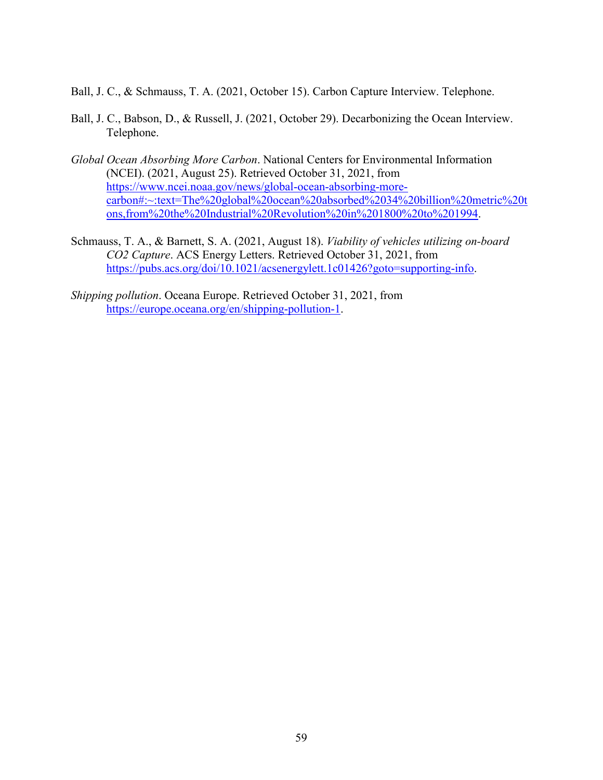Ball, J. C., & Schmauss, T. A. (2021, October 15). Carbon Capture Interview. Telephone.

- Ball, J. C., Babson, D., & Russell, J. (2021, October 29). Decarbonizing the Ocean Interview. Telephone.
- *Global Ocean Absorbing More Carbon*. National Centers for Environmental Information (NCEI). (2021, August 25). Retrieved October 31, 2021, from [https://www.ncei.noaa.gov/news/global-ocean-absorbing-more](https://www.ncei.noaa.gov/news/global-ocean-absorbing-more-carbon#:%7E:text=The%20global%20ocean%20absorbed%2034%20billion%20metric%20tons,from%20the%20Industrial%20Revolution%20in%201800%20to%201994)[carbon#:~:text=The%20global%20ocean%20absorbed%2034%20billion%20metric%20t](https://www.ncei.noaa.gov/news/global-ocean-absorbing-more-carbon#:%7E:text=The%20global%20ocean%20absorbed%2034%20billion%20metric%20tons,from%20the%20Industrial%20Revolution%20in%201800%20to%201994) [ons,from%20the%20Industrial%20Revolution%20in%201800%20to%201994.](https://www.ncei.noaa.gov/news/global-ocean-absorbing-more-carbon#:%7E:text=The%20global%20ocean%20absorbed%2034%20billion%20metric%20tons,from%20the%20Industrial%20Revolution%20in%201800%20to%201994)
- Schmauss, T. A., & Barnett, S. A. (2021, August 18). *Viability of vehicles utilizing on-board CO2 Capture*. ACS Energy Letters. Retrieved October 31, 2021, from [https://pubs.acs.org/doi/10.1021/acsenergylett.1c01426?goto=supporting-info.](https://pubs.acs.org/doi/10.1021/acsenergylett.1c01426?goto=supporting-info)

*Shipping pollution*. Oceana Europe. Retrieved October 31, 2021, from [https://europe.oceana.org/en/shipping-pollution-1.](https://europe.oceana.org/en/shipping-pollution-1)